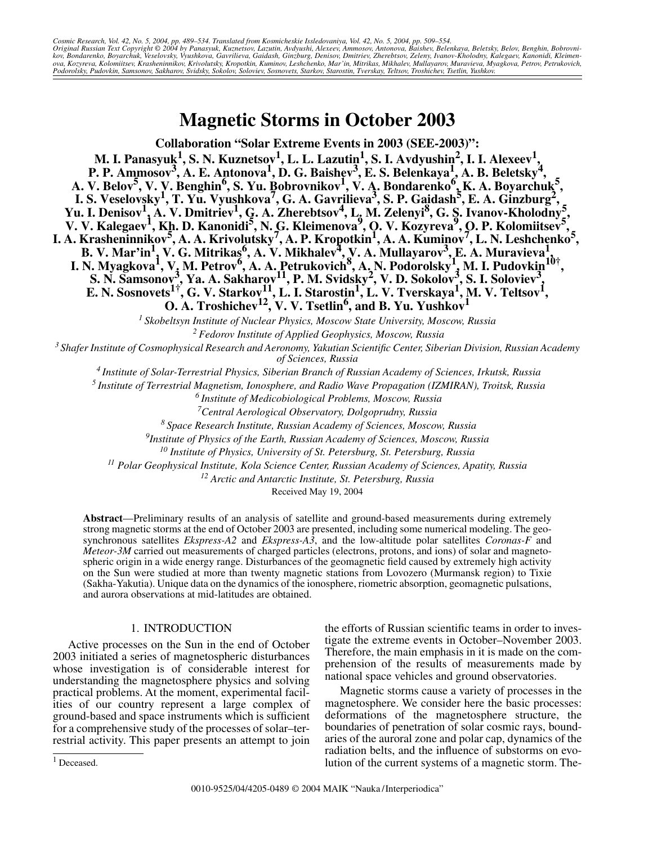Cosmic Research, Vol. 42, No. 5, 2004, pp. 489–534. Translated from Kosmicheskie Issledovaniya, Vol. 42, No. 5, 2004, pp. 509–554.<br>Original Russian Text Copyright © 2004 by Panasyuk, Kuznetsov, Lazutin, Avdyushi, Alexeev,

# **Magnetic Storms in October 2003**

**Collaboration "Solar Extreme Events in 2003 (SEE-2003)":** M. I. Panasyuk<sup>1</sup>, S. N. Kuznetsov<sup>1</sup>, L. L. Lazutin<sup>1</sup>, S. I. Avdyushin<sup>2</sup>, I. I. Alexeev<sup>1</sup>, **P. P. Ammosov3, A. E. Antonova1, D. G. Baishev3, E. S. Belenkaya1, A. B. Beletsky4, A. V. Belov5, V. V. Benghin6, S. Yu. Bobrovnikov1, V. A. Bondarenko6, K. A. Boyarchuk5, I. S. Veselovsky1, T. Yu. Vyushkova7, G. A. Gavrilieva3, S. P. Gaidash5, E. A. Ginzburg2,**  Yu. I. Denisov<sup>1</sup>, A. V. Dmitriev<sup>1</sup>, G. A. Zherebtsov<sup>4</sup>, L. M. Zelenyi<sup>8</sup>, G. S. Ivanov-Kholodny<sup>5</sup>, V. V. Kalegaev<sup>1</sup>, Kh. D. Kanonidi<sup>5</sup>, N. G. Kleimenova<sup>9</sup>, Q. V. Kozyreva<sup>9</sup>, Q. P. Kolomiitsev<sup>5</sup>, **I. A. Krasheninnikov5, A. A. Krivolutsky7, A. P. Kropotkin1, A. A. Kuminov7, L. N. Leshchenko5, B. V. Mar'in<sup>1</sup>, V. G. Mitrikas , A. V. Mikhalev<sup>4</sup>, V. A. Mullayarov<sup>3</sup>, E. A. Muravieva<sup>1</sup>,** I. N. Myagkova<sup>1</sup>, V. M. Petrov<sup>6</sup>, A. A. Petrukovich<sup>8</sup>, A. N. Podorolsky<sup>1</sup>, M. I. Pudovkin<sup>10†</sup>, S. N. Samsonov<sup>3</sup>, Ya. A. Sakharov<sup>11</sup>, P. M. Svidsky<sup>2</sup>, V. D. Sokolov<sup>3</sup>, S. I. Soloviev<sup>3</sup>, **E. N. Sosnovets<sup>1†</sup>, G. V. Starkov<sup>11</sup>, L. I. Starostin<sup>1</sup>, L. V. Tverskaya<sup>1</sup>, M. V. Teltsov<sup>1</sup>, O. A. Troshichev<sup>12</sup>, V. V. Tsetlin<sup>6</sup>, and B. Yu. Yushkov<sup>1</sup>** 

*1 Skobeltsyn Institute of Nuclear Physics, Moscow State University, Moscow, Russia*

*2 Fedorov Institute of Applied Geophysics, Moscow, Russia*

*3 Shafer Institute of Cosmophysical Research and Aeronomy, Yakutian Scientific Center, Siberian Division, Russian Academy* 

*of Sciences, Russia*

*4 Institute of Solar-Terrestrial Physics, Siberian Branch of Russian Academy of Sciences, Irkutsk, Russia*

*5 Institute of Terrestrial Magnetism, Ionosphere, and Radio Wave Propagation (IZMIRAN), Troitsk, Russia*

*6 Institute of Medicobiological Problems, Moscow, Russia*

*7 Central Aerological Observatory, Dolgoprudny, Russia*

*8 Space Research Institute, Russian Academy of Sciences, Moscow, Russia*

*9 Institute of Physics of the Earth, Russian Academy of Sciences, Moscow, Russia*

*10 Institute of Physics, University of St. Petersburg, St. Petersburg, Russia*

*11 Polar Geophysical Institute, Kola Science Center, Russian Academy of Sciences, Apatity, Russia*

*12 Arctic and Antarctic Institute, St. Petersburg, Russia*

Received May 19, 2004

**Abstract**—Preliminary results of an analysis of satellite and ground-based measurements during extremely strong magnetic storms at the end of October 2003 are presented, including some numerical modeling. The geosynchronous satellites *Ekspress-A2* and *Ekspress-A3*, and the low-altitude polar satellites *Coronas-F* and *Meteor-3M* carried out measurements of charged particles (electrons, protons, and ions) of solar and magnetospheric origin in a wide energy range. Disturbances of the geomagnetic field caused by extremely high activity on the Sun were studied at more than twenty magnetic stations from Lovozero (Murmansk region) to Tixie (Sakha-Yakutia). Unique data on the dynamics of the ionosphere, riometric absorption, geomagnetic pulsations, and aurora observations at mid-latitudes are obtained.

# 1. INTRODUCTION

Active processes on the Sun in the end of October 2003 initiated a series of magnetospheric disturbances whose investigation is of considerable interest for understanding the magnetosphere physics and solving practical problems. At the moment, experimental facilities of our country represent a large complex of ground-based and space instruments which is sufficient for a comprehensive study of the processes of solar–terrestrial activity. This paper presents an attempt to join

Magnetic storms cause a variety of processes in the magnetosphere. We consider here the basic processes: deformations of the magnetosphere structure, the boundaries of penetration of solar cosmic rays, boundaries of the auroral zone and polar cap, dynamics of the radiation belts, and the influence of substorms on evolution of the current systems of a magnetic storm. The-

the efforts of Russian scientific teams in order to investigate the extreme events in October–November 2003. Therefore, the main emphasis in it is made on the comprehension of the results of measurements made by national space vehicles and ground observatories.

<sup>&</sup>lt;sup>1</sup> Deceased.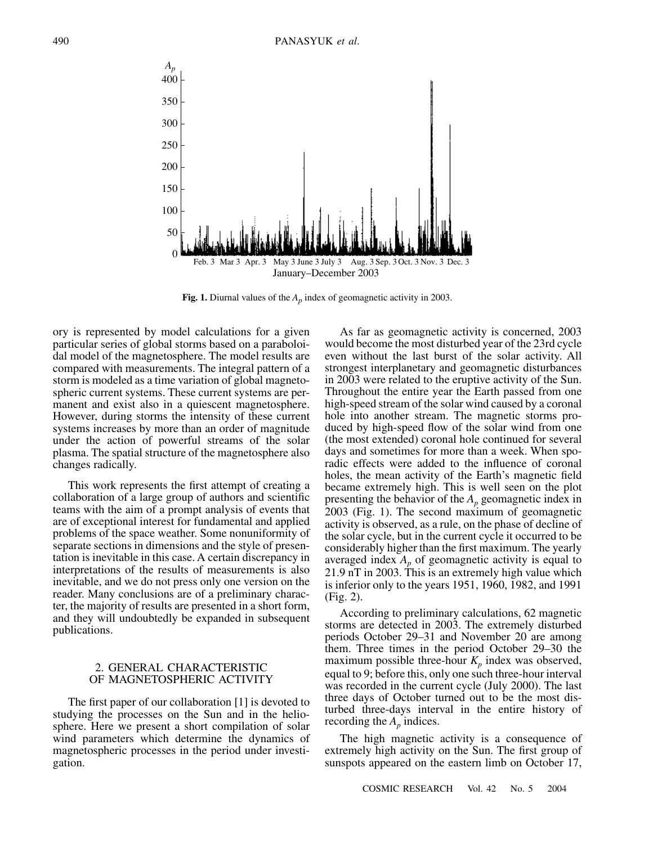

**Fig. 1.** Diurnal values of the  $A_p$  index of geomagnetic activity in 2003.

ory is represented by model calculations for a given particular series of global storms based on a paraboloidal model of the magnetosphere. The model results are compared with measurements. The integral pattern of a storm is modeled as a time variation of global magnetospheric current systems. These current systems are permanent and exist also in a quiescent magnetosphere. However, during storms the intensity of these current systems increases by more than an order of magnitude under the action of powerful streams of the solar plasma. The spatial structure of the magnetosphere also changes radically.

This work represents the first attempt of creating a collaboration of a large group of authors and scientific teams with the aim of a prompt analysis of events that are of exceptional interest for fundamental and applied problems of the space weather. Some nonuniformity of separate sections in dimensions and the style of presentation is inevitable in this case. A certain discrepancy in interpretations of the results of measurements is also inevitable, and we do not press only one version on the reader. Many conclusions are of a preliminary character, the majority of results are presented in a short form, and they will undoubtedly be expanded in subsequent publications.

## 2. GENERAL CHARACTERISTIC OF MAGNETOSPHERIC ACTIVITY

The first paper of our collaboration [1] is devoted to studying the processes on the Sun and in the heliosphere. Here we present a short compilation of solar wind parameters which determine the dynamics of magnetospheric processes in the period under investigation.

As far as geomagnetic activity is concerned, 2003 would become the most disturbed year of the 23rd cycle even without the last burst of the solar activity. All strongest interplanetary and geomagnetic disturbances in 2003 were related to the eruptive activity of the Sun. Throughout the entire year the Earth passed from one high-speed stream of the solar wind caused by a coronal hole into another stream. The magnetic storms produced by high-speed flow of the solar wind from one (the most extended) coronal hole continued for several days and sometimes for more than a week. When sporadic effects were added to the influence of coronal holes, the mean activity of the Earth's magnetic field became extremely high. This is well seen on the plot presenting the behavior of the *Ap* geomagnetic index in 2003 (Fig. 1). The second maximum of geomagnetic activity is observed, as a rule, on the phase of decline of the solar cycle, but in the current cycle it occurred to be considerably higher than the first maximum. The yearly averaged index  $A_p$  of geomagnetic activity is equal to 21.9 nT in 2003. This is an extremely high value which is inferior only to the years 1951, 1960, 1982, and 1991 (Fig. 2).

According to preliminary calculations, 62 magnetic storms are detected in 2003. The extremely disturbed periods October 29–31 and November 20 are among them. Three times in the period October 29–30 the maximum possible three-hour  $K_p$  index was observed, equal to 9; before this, only one such three-hour interval was recorded in the current cycle (July 2000). The last three days of October turned out to be the most disturbed three-days interval in the entire history of recording the  $A<sub>n</sub>$  indices.

The high magnetic activity is a consequence of extremely high activity on the Sun. The first group of sunspots appeared on the eastern limb on October 17,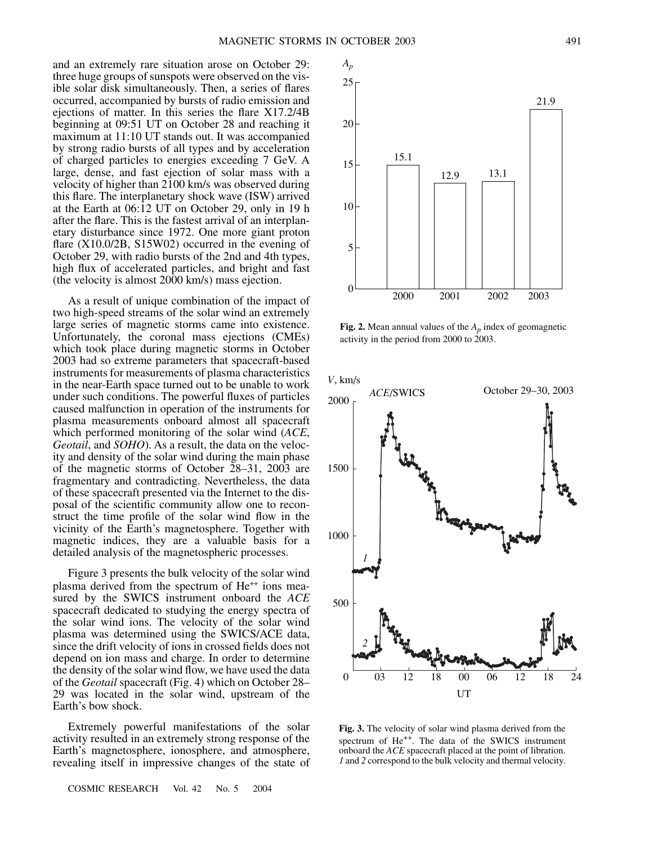and an extremely rare situation arose on October 29: three huge groups of sunspots were observed on the visible solar disk simultaneously. Then, a series of flares occurred, accompanied by bursts of radio emission and ejections of matter. In this series the flare X17.2/4B beginning at 09:51 UT on October 28 and reaching it maximum at 11:10 UT stands out. It was accompanied by strong radio bursts of all types and by acceleration of charged particles to energies exceeding 7 GeV. A large, dense, and fast ejection of solar mass with a velocity of higher than 2100 km/s was observed during this flare. The interplanetary shock wave (ISW) arrived at the Earth at 06:12 UT on October 29, only in 19 h after the flare. This is the fastest arrival of an interplanetary disturbance since 1972. One more giant proton flare (X10.0/2B, S15W02) occurred in the evening of October 29, with radio bursts of the 2nd and 4th types, high flux of accelerated particles, and bright and fast (the velocity is almost 2000 km/s) mass ejection.

As a result of unique combination of the impact of two high-speed streams of the solar wind an extremely large series of magnetic storms came into existence. Unfortunately, the coronal mass ejections (CMEs) which took place during magnetic storms in October 2003 had so extreme parameters that spacecraft-based instruments for measurements of plasma characteristics in the near-Earth space turned out to be unable to work under such conditions. The powerful fluxes of particles caused malfunction in operation of the instruments for plasma measurements onboard almost all spacecraft which performed monitoring of the solar wind (*ACE*, *Geotail*, and *SOHO*). As a result, the data on the velocity and density of the solar wind during the main phase of the magnetic storms of October 28–31, 2003 are fragmentary and contradicting. Nevertheless, the data of these spacecraft presented via the Internet to the disposal of the scientific community allow one to reconstruct the time profile of the solar wind flow in the vicinity of the Earth's magnetosphere. Together with magnetic indices, they are a valuable basis for a detailed analysis of the magnetospheric processes.

Figure 3 presents the bulk velocity of the solar wind plasma derived from the spectrum of He<sup>++</sup> ions measured by the SWICS instrument onboard the *ACE* spacecraft dedicated to studying the energy spectra of the solar wind ions. The velocity of the solar wind plasma was determined using the SWICS/ACE data, since the drift velocity of ions in crossed fields does not depend on ion mass and charge. In order to determine the density of the solar wind flow, we have used the data of the *Geotail* spacecraft (Fig. 4) which on October 28– 29 was located in the solar wind, upstream of the Earth's bow shock.

Extremely powerful manifestations of the solar activity resulted in an extremely strong response of the Earth's magnetosphere, ionosphere, and atmosphere, revealing itself in impressive changes of the state of



**Fig. 2.** Mean annual values of the  $A_p$  index of geomagnetic activity in the period from 2000 to 2003.



**Fig. 3.** The velocity of solar wind plasma derived from the spectrum of He<sup>++</sup>. The data of the SWICS instrument onboard the *ACE* spacecraft placed at the point of libration. *1* and *2* correspond to the bulk velocity and thermal velocity.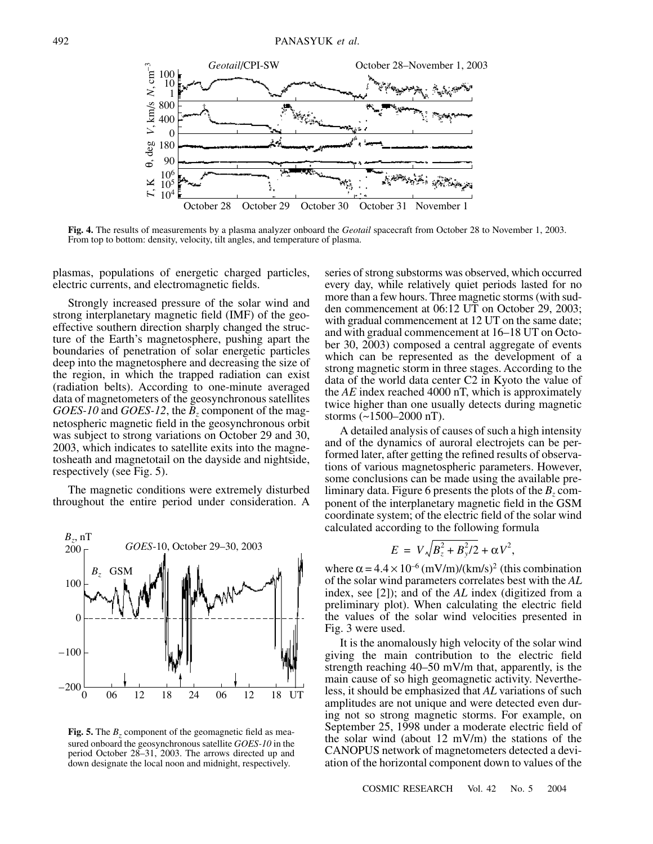

**Fig. 4.** The results of measurements by a plasma analyzer onboard the *Geotail* spacecraft from October 28 to November 1, 2003. From top to bottom: density, velocity, tilt angles, and temperature of plasma.

plasmas, populations of energetic charged particles, electric currents, and electromagnetic fields.

Strongly increased pressure of the solar wind and strong interplanetary magnetic field (IMF) of the geoeffective southern direction sharply changed the structure of the Earth's magnetosphere, pushing apart the boundaries of penetration of solar energetic particles deep into the magnetosphere and decreasing the size of the region, in which the trapped radiation can exist (radiation belts). According to one-minute averaged data of magnetometers of the geosynchronous satellites *GOES-10* and *GOES-12*, the  $B_z$  component of the magnetospheric magnetic field in the geosynchronous orbit was subject to strong variations on October 29 and 30, 2003, which indicates to satellite exits into the magnetosheath and magnetotail on the dayside and nightside, respectively (see Fig. 5).

The magnetic conditions were extremely disturbed throughout the entire period under consideration. A



**Fig. 5.** The  $B_7$  component of the geomagnetic field as measured onboard the geosynchronous satellite *GOES-10* in the period October 28–31, 2003. The arrows directed up and down designate the local noon and midnight, respectively.

series of strong substorms was observed, which occurred every day, while relatively quiet periods lasted for no more than a few hours. Three magnetic storms (with sudden commencement at 06:12 UT on October 29, 2003; with gradual commencement at 12 UT on the same date; and with gradual commencement at 16–18 UT on October 30, 2003) composed a central aggregate of events which can be represented as the development of a strong magnetic storm in three stages. According to the data of the world data center C2 in Kyoto the value of the *AE* index reached 4000 nT, which is approximately twice higher than one usually detects during magnetic storms (~1500–2000 nT).

A detailed analysis of causes of such a high intensity and of the dynamics of auroral electrojets can be performed later, after getting the refined results of observations of various magnetospheric parameters. However, some conclusions can be made using the available preliminary data. Figure 6 presents the plots of the  $B<sub>z</sub>$  component of the interplanetary magnetic field in the GSM coordinate system; of the electric field of the solar wind calculated according to the following formula

$$
E = V \sqrt{B_z^2 + B_y^2/2} + \alpha V^2,
$$

where  $\alpha = 4.4 \times 10^{-6}$  (mV/m)/(km/s)<sup>2</sup> (this combination of the solar wind parameters correlates best with the *AL* index, see [2]); and of the *AL* index (digitized from a preliminary plot). When calculating the electric field the values of the solar wind velocities presented in Fig. 3 were used.

It is the anomalously high velocity of the solar wind giving the main contribution to the electric field strength reaching 40–50 mV/m that, apparently, is the main cause of so high geomagnetic activity. Nevertheless, it should be emphasized that *AL* variations of such amplitudes are not unique and were detected even during not so strong magnetic storms. For example, on September 25, 1998 under a moderate electric field of the solar wind (about 12 mV/m) the stations of the CANOPUS network of magnetometers detected a deviation of the horizontal component down to values of the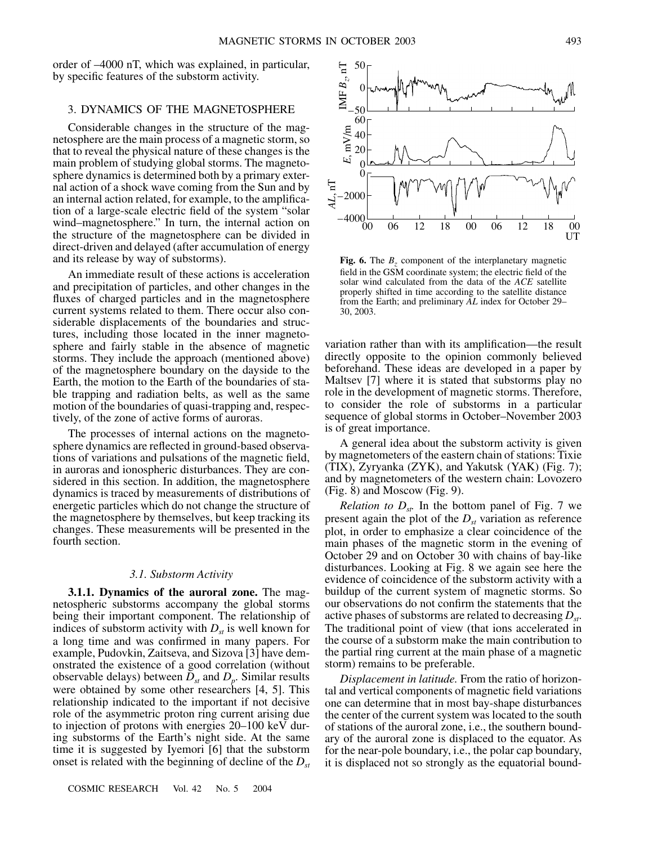order of –4000 nT, which was explained, in particular, by specific features of the substorm activity.

#### 3. DYNAMICS OF THE MAGNETOSPHERE

Considerable changes in the structure of the magnetosphere are the main process of a magnetic storm, so that to reveal the physical nature of these changes is the main problem of studying global storms. The magnetosphere dynamics is determined both by a primary external action of a shock wave coming from the Sun and by an internal action related, for example, to the amplification of a large-scale electric field of the system "solar wind–magnetosphere." In turn, the internal action on the structure of the magnetosphere can be divided in direct-driven and delayed (after accumulation of energy and its release by way of substorms).

An immediate result of these actions is acceleration and precipitation of particles, and other changes in the fluxes of charged particles and in the magnetosphere current systems related to them. There occur also considerable displacements of the boundaries and structures, including those located in the inner magnetosphere and fairly stable in the absence of magnetic storms. They include the approach (mentioned above) of the magnetosphere boundary on the dayside to the Earth, the motion to the Earth of the boundaries of stable trapping and radiation belts, as well as the same motion of the boundaries of quasi-trapping and, respectively, of the zone of active forms of auroras.

The processes of internal actions on the magnetosphere dynamics are reflected in ground-based observations of variations and pulsations of the magnetic field, in auroras and ionospheric disturbances. They are considered in this section. In addition, the magnetosphere dynamics is traced by measurements of distributions of energetic particles which do not change the structure of the magnetosphere by themselves, but keep tracking its changes. These measurements will be presented in the fourth section.

## *3.1. Substorm Activity*

**3.1.1. Dynamics of the auroral zone.** The magnetospheric substorms accompany the global storms being their important component. The relationship of indices of substorm activity with  $D_{st}$  is well known for a long time and was confirmed in many papers. For example, Pudovkin, Zaitseva, and Sizova [3] have demonstrated the existence of a good correlation (without observable delays) between  $D_{st}$  and  $D_p$ . Similar results were obtained by some other researchers [4, 5]. This relationship indicated to the important if not decisive role of the asymmetric proton ring current arising due to injection of protons with energies 20–100 keV during substorms of the Earth's night side. At the same time it is suggested by Iyemori [6] that the substorm onset is related with the beginning of decline of the *Dst*



**Fig. 6.** The  $B<sub>z</sub>$  component of the interplanetary magnetic field in the GSM coordinate system; the electric field of the solar wind calculated from the data of the *ACE* satellite properly shifted in time according to the satellite distance from the Earth; and preliminary *AL* index for October 29– 30, 2003.

variation rather than with its amplification—the result directly opposite to the opinion commonly believed beforehand. These ideas are developed in a paper by Maltsev [7] where it is stated that substorms play no role in the development of magnetic storms. Therefore, to consider the role of substorms in a particular sequence of global storms in October–November 2003 is of great importance.

A general idea about the substorm activity is given by magnetometers of the eastern chain of stations: Tixie (TIX), Zyryanka (ZYK), and Yakutsk (YAK) (Fig. 7); and by magnetometers of the western chain: Lovozero (Fig. 8) and Moscow (Fig. 9).

*Relation to*  $D_{sr}$ *.* In the bottom panel of Fig. 7 we present again the plot of the  $D_{st}$  variation as reference plot, in order to emphasize a clear coincidence of the main phases of the magnetic storm in the evening of October 29 and on October 30 with chains of bay-like disturbances. Looking at Fig. 8 we again see here the evidence of coincidence of the substorm activity with a buildup of the current system of magnetic storms. So our observations do not confirm the statements that the active phases of substorms are related to decreasing *Dst*. The traditional point of view (that ions accelerated in the course of a substorm make the main contribution to the partial ring current at the main phase of a magnetic storm) remains to be preferable.

*Displacement in latitude.* From the ratio of horizontal and vertical components of magnetic field variations one can determine that in most bay-shape disturbances the center of the current system was located to the south of stations of the auroral zone, i.e., the southern boundary of the auroral zone is displaced to the equator. As for the near-pole boundary, i.e., the polar cap boundary, it is displaced not so strongly as the equatorial bound-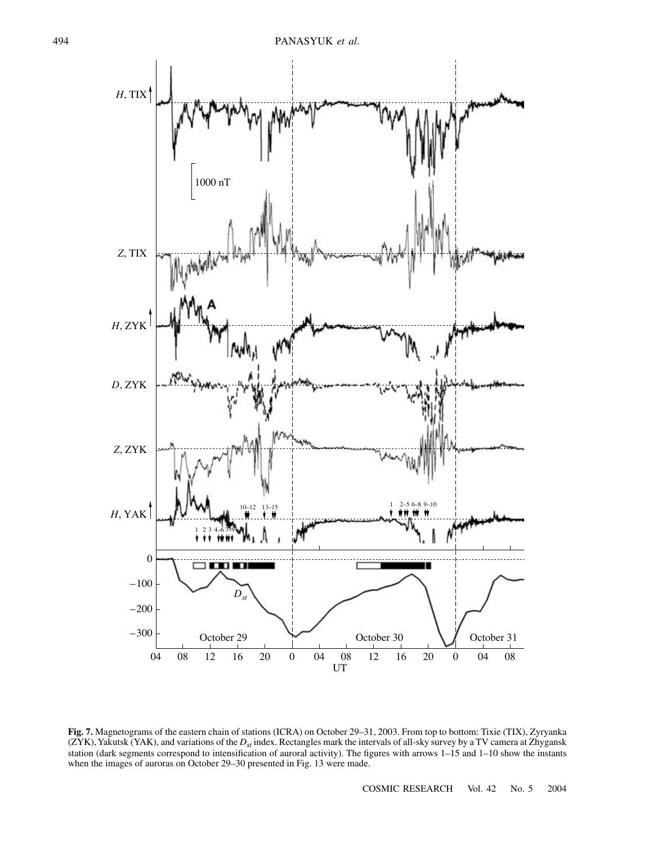

**Fig. 7.** Magnetograms of the eastern chain of stations (ICRA) on October 29–31, 2003. From top to bottom: Tixie (TIX), Zyryanka  $(ZYK)$ , Yakutsk (YAK), and variations of the  $D_{st}$  index. Rectangles mark the intervals of all-sky survey by a TV camera at Zhygansk station (dark segments correspond to intensification of auroral activity). The figures with arrows 1–15 and 1–10 show the instants when the images of auroras on October 29-30 presented in Fig. 13 were made.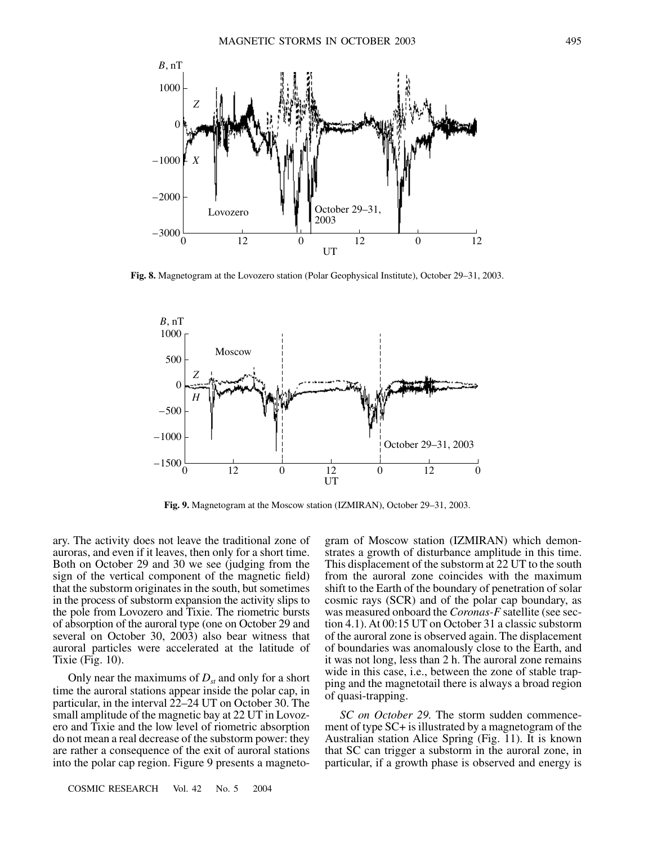

**Fig. 8.** Magnetogram at the Lovozero station (Polar Geophysical Institute), October 29–31, 2003.



**Fig. 9.** Magnetogram at the Moscow station (IZMIRAN), October 29–31, 2003.

ary. The activity does not leave the traditional zone of auroras, and even if it leaves, then only for a short time. Both on October 29 and 30 we see (judging from the sign of the vertical component of the magnetic field) that the substorm originates in the south, but sometimes in the process of substorm expansion the activity slips to the pole from Lovozero and Tixie. The riometric bursts of absorption of the auroral type (one on October 29 and several on October 30, 2003) also bear witness that auroral particles were accelerated at the latitude of Tixie (Fig. 10).

Only near the maximums of  $D_{st}$  and only for a short time the auroral stations appear inside the polar cap, in particular, in the interval 22–24 UT on October 30. The small amplitude of the magnetic bay at 22 UT in Lovozero and Tixie and the low level of riometric absorption do not mean a real decrease of the substorm power: they are rather a consequence of the exit of auroral stations into the polar cap region. Figure 9 presents a magneto-

COSMIC RESEARCH Vol. 42 No. 5 2004

gram of Moscow station (IZMIRAN) which demonstrates a growth of disturbance amplitude in this time. This displacement of the substorm at 22 UT to the south from the auroral zone coincides with the maximum shift to the Earth of the boundary of penetration of solar cosmic rays (SCR) and of the polar cap boundary, as was measured onboard the *Coronas-F* satellite (see section 4.1). At 00:15 UT on October 31 a classic substorm of the auroral zone is observed again. The displacement of boundaries was anomalously close to the Earth, and it was not long, less than 2 h. The auroral zone remains wide in this case, i.e., between the zone of stable trapping and the magnetotail there is always a broad region of quasi-trapping.

*SC on October 29.* The storm sudden commencement of type SC+ is illustrated by a magnetogram of the Australian station Alice Spring (Fig. 11). It is known that SC can trigger a substorm in the auroral zone, in particular, if a growth phase is observed and energy is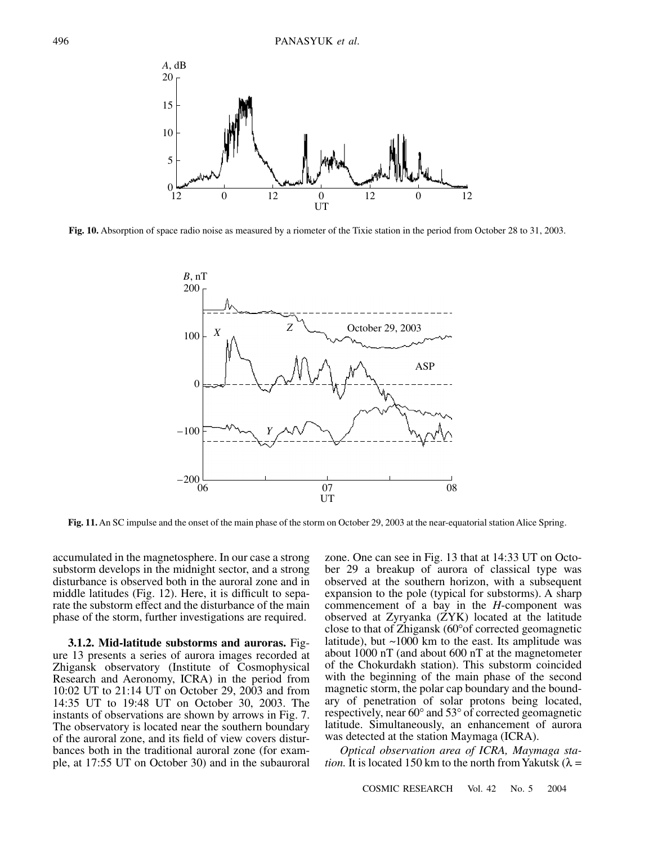

**Fig. 10.** Absorption of space radio noise as measured by a riometer of the Tixie station in the period from October 28 to 31, 2003.



**Fig. 11.** An SC impulse and the onset of the main phase of the storm on October 29, 2003 at the near-equatorial station Alice Spring.

accumulated in the magnetosphere. In our case a strong substorm develops in the midnight sector, and a strong disturbance is observed both in the auroral zone and in middle latitudes (Fig. 12). Here, it is difficult to separate the substorm effect and the disturbance of the main phase of the storm, further investigations are required.

**3.1.2. Mid-latitude substorms and auroras.** Figure 13 presents a series of aurora images recorded at Zhigansk observatory (Institute of Cosmophysical Research and Aeronomy, ICRA) in the period from 10:02 UT to 21:14 UT on October 29, 2003 and from 14:35 UT to 19:48 UT on October 30, 2003. The instants of observations are shown by arrows in Fig. 7. The observatory is located near the southern boundary of the auroral zone, and its field of view covers disturbances both in the traditional auroral zone (for example, at 17:55 UT on October 30) and in the subauroral zone. One can see in Fig. 13 that at 14:33 UT on October 29 a breakup of aurora of classical type was observed at the southern horizon, with a subsequent expansion to the pole (typical for substorms). A sharp commencement of a bay in the *H*-component was observed at Zyryanka (ZYK) located at the latitude close to that of Zhigansk (60°of corrected geomagnetic latitude), but  $\sim$ 1000 km to the east. Its amplitude was about 1000 nT (and about 600 nT at the magnetometer of the Chokurdakh station). This substorm coincided with the beginning of the main phase of the second magnetic storm, the polar cap boundary and the boundary of penetration of solar protons being located, respectively, near 60° and 53° of corrected geomagnetic latitude. Simultaneously, an enhancement of aurora was detected at the station Maymaga (ICRA).

*Optical observation area of ICRA, Maymaga station.* It is located 150 km to the north from Yakutsk ( $\lambda$  =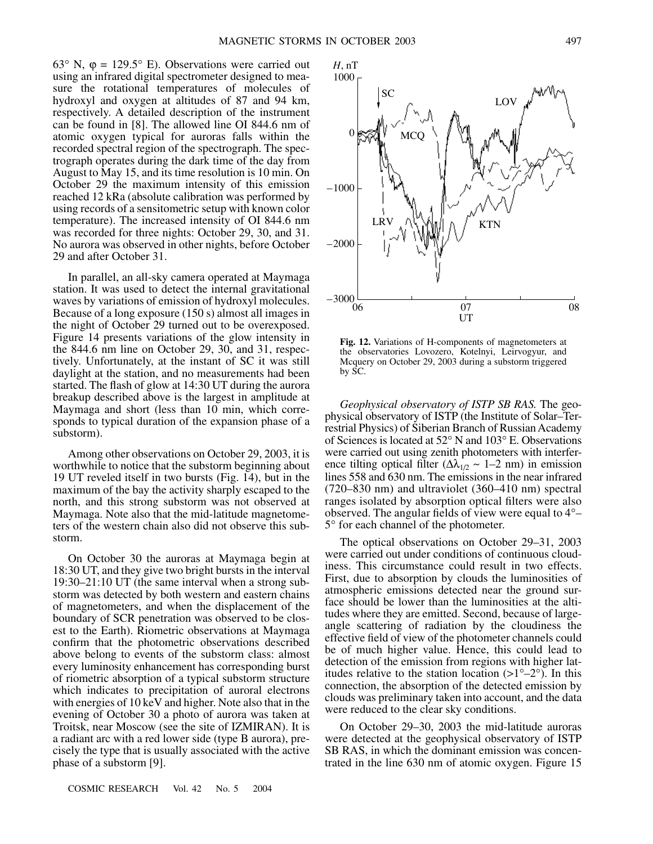63° N,  $\varphi = 129.5$ ° E). Observations were carried out using an infrared digital spectrometer designed to measure the rotational temperatures of molecules of hydroxyl and oxygen at altitudes of 87 and 94 km, respectively. A detailed description of the instrument can be found in [8]. The allowed line OI 844.6 nm of atomic oxygen typical for auroras falls within the recorded spectral region of the spectrograph. The spectrograph operates during the dark time of the day from August to May 15, and its time resolution is 10 min. On October 29 the maximum intensity of this emission reached 12 kRa (absolute calibration was performed by using records of a sensitometric setup with known color temperature). The increased intensity of OI 844.6 nm was recorded for three nights: October 29, 30, and 31. No aurora was observed in other nights, before October 29 and after October 31.

In parallel, an all-sky camera operated at Maymaga station. It was used to detect the internal gravitational waves by variations of emission of hydroxyl molecules. Because of a long exposure (150 s) almost all images in the night of October 29 turned out to be overexposed. Figure 14 presents variations of the glow intensity in the 844.6 nm line on October 29, 30, and 31, respectively. Unfortunately, at the instant of SC it was still daylight at the station, and no measurements had been started. The flash of glow at 14:30 UT during the aurora breakup described above is the largest in amplitude at Maymaga and short (less than 10 min, which corresponds to typical duration of the expansion phase of a substorm).

Among other observations on October 29, 2003, it is worthwhile to notice that the substorm beginning about 19 UT reveled itself in two bursts (Fig. 14), but in the maximum of the bay the activity sharply escaped to the north, and this strong substorm was not observed at Maymaga. Note also that the mid-latitude magnetometers of the western chain also did not observe this substorm.

On October 30 the auroras at Maymaga begin at 18:30 UT, and they give two bright bursts in the interval 19:30–21:10 UT (the same interval when a strong substorm was detected by both western and eastern chains of magnetometers, and when the displacement of the boundary of SCR penetration was observed to be closest to the Earth). Riometric observations at Maymaga confirm that the photometric observations described above belong to events of the substorm class: almost every luminosity enhancement has corresponding burst of riometric absorption of a typical substorm structure which indicates to precipitation of auroral electrons with energies of 10 keV and higher. Note also that in the evening of October 30 a photo of aurora was taken at Troitsk, near Moscow (see the site of IZMIRAN). It is a radiant arc with a red lower side (type B aurora), precisely the type that is usually associated with the active phase of a substorm [9].



**Fig. 12.** Variations of H-components of magnetometers at the observatories Lovozero, Kotelnyi, Leirvogyur, and Mcquery on October 29, 2003 during a substorm triggered by SC.

*Geophysical observatory of ISTP SB RAS.* The geophysical observatory of ISTP (the Institute of Solar–Terrestrial Physics) of Siberian Branch of Russian Academy of Sciences is located at 52° N and 103° E. Observations were carried out using zenith photometers with interference tilting optical filter ( $\Delta\lambda_{1/2}$  ~ 1–2 nm) in emission lines 558 and 630 nm. The emissions in the near infrared (720–830 nm) and ultraviolet (360–410 nm) spectral ranges isolated by absorption optical filters were also observed. The angular fields of view were equal to 4°– 5° for each channel of the photometer.

The optical observations on October 29–31, 2003 were carried out under conditions of continuous cloudiness. This circumstance could result in two effects. First, due to absorption by clouds the luminosities of atmospheric emissions detected near the ground surface should be lower than the luminosities at the altitudes where they are emitted. Second, because of largeangle scattering of radiation by the cloudiness the effective field of view of the photometer channels could be of much higher value. Hence, this could lead to detection of the emission from regions with higher latitudes relative to the station location  $(>1^{\circ}-2^{\circ})$ . In this connection, the absorption of the detected emission by clouds was preliminary taken into account, and the data were reduced to the clear sky conditions.

On October 29–30, 2003 the mid-latitude auroras were detected at the geophysical observatory of ISTP SB RAS, in which the dominant emission was concentrated in the line 630 nm of atomic oxygen. Figure 15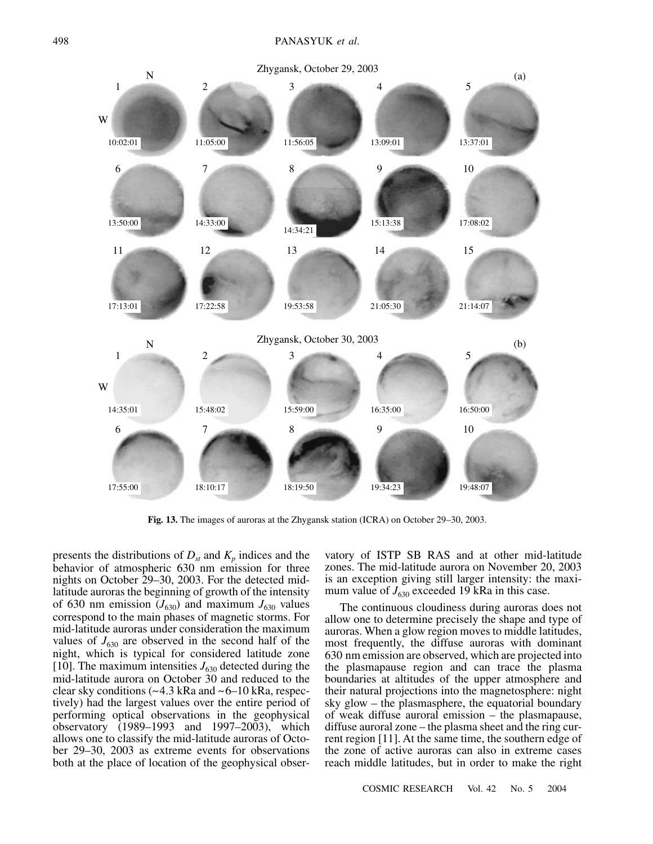

**Fig. 13.** The images of auroras at the Zhygansk station (ICRA) on October 29–30, 2003.

presents the distributions of  $D_{st}$  and  $K_p$  indices and the behavior of atmospheric 630 nm emission for three nights on October 29–30, 2003. For the detected midlatitude auroras the beginning of growth of the intensity of 630 nm emission  $(J_{630})$  and maximum  $J_{630}$  values correspond to the main phases of magnetic storms. For mid-latitude auroras under consideration the maximum values of  $J_{630}$  are observed in the second half of the night, which is typical for considered latitude zone [10]. The maximum intensities  $J_{630}$  detected during the mid-latitude aurora on October 30 and reduced to the clear sky conditions  $(\sim 4.3 \text{ kRa}$  and  $\sim 6$ –10 kRa, respectively) had the largest values over the entire period of performing optical observations in the geophysical observatory (1989–1993 and 1997–2003), which allows one to classify the mid-latitude auroras of October 29–30, 2003 as extreme events for observations both at the place of location of the geophysical obser-

vatory of ISTP SB RAS and at other mid-latitude zones. The mid-latitude aurora on November 20, 2003 is an exception giving still larger intensity: the maximum value of  $J_{630}$  exceeded 19 kRa in this case.

The continuous cloudiness during auroras does not allow one to determine precisely the shape and type of auroras. When a glow region moves to middle latitudes, most frequently, the diffuse auroras with dominant 630 nm emission are observed, which are projected into the plasmapause region and can trace the plasma boundaries at altitudes of the upper atmosphere and their natural projections into the magnetosphere: night sky glow – the plasmasphere, the equatorial boundary of weak diffuse auroral emission – the plasmapause, diffuse auroral zone – the plasma sheet and the ring current region [11]. At the same time, the southern edge of the zone of active auroras can also in extreme cases reach middle latitudes, but in order to make the right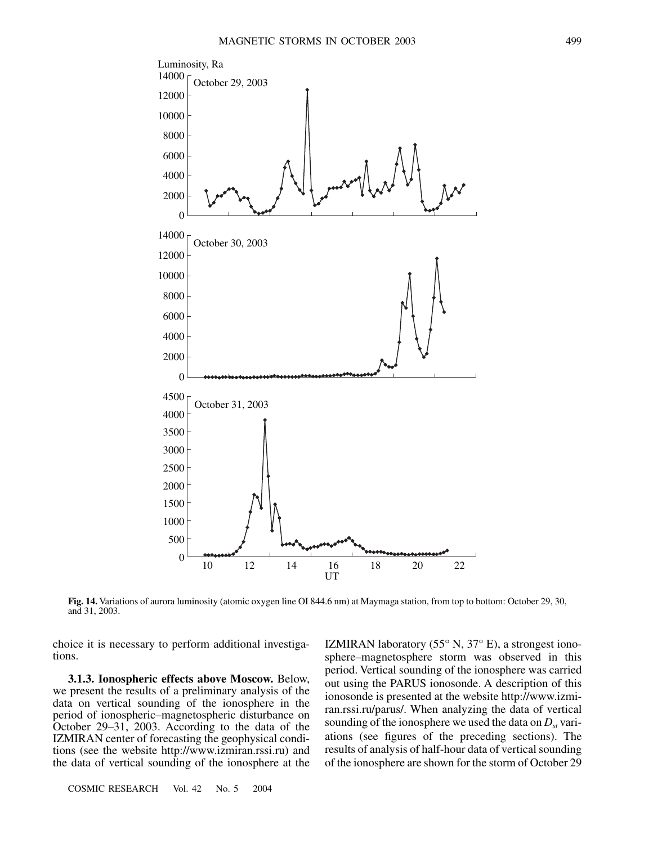

**Fig. 14.** Variations of aurora luminosity (atomic oxygen line OI 844.6 nm) at Maymaga station, from top to bottom: October 29, 30, and 31, 2003.

choice it is necessary to perform additional investigations.

**3.1.3. Ionospheric effects above Moscow.** Below, we present the results of a preliminary analysis of the data on vertical sounding of the ionosphere in the period of ionospheric–magnetospheric disturbance on October 29–31, 2003. According to the data of the IZMIRAN center of forecasting the geophysical conditions (see the website http://www.izmiran.rssi.ru) and the data of vertical sounding of the ionosphere at the IZMIRAN laboratory (55° N, 37° E), a strongest ionosphere–magnetosphere storm was observed in this period. Vertical sounding of the ionosphere was carried out using the PARUS ionosonde. A description of this ionosonde is presented at the website http://www.izmiran.rssi.ru/parus/. When analyzing the data of vertical sounding of the ionosphere we used the data on  $D_{st}$  variations (see figures of the preceding sections). The results of analysis of half-hour data of vertical sounding of the ionosphere are shown for the storm of October 29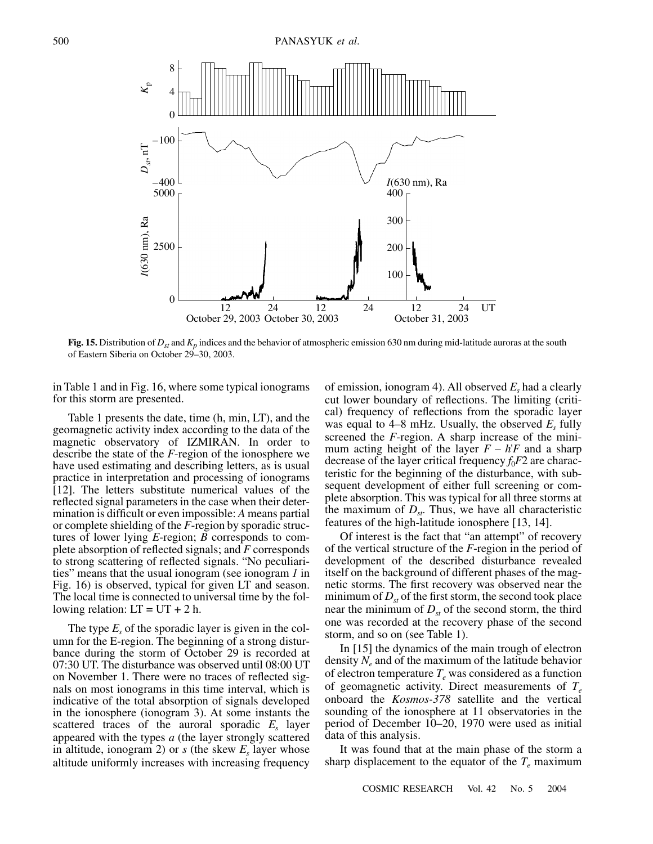

**Fig. 15.** Distribution of  $D_{\rm ct}$  and  $K_p$  indices and the behavior of atmospheric emission 630 nm during mid-latitude auroras at the south of Eastern Siberia on October 29–30, 2003.

in Table 1 and in Fig. 16, where some typical ionograms for this storm are presented.

Table 1 presents the date, time (h, min, LT), and the geomagnetic activity index according to the data of the magnetic observatory of IZMIRAN. In order to describe the state of the *F*-region of the ionosphere we have used estimating and describing letters, as is usual practice in interpretation and processing of ionograms [12]. The letters substitute numerical values of the reflected signal parameters in the case when their determination is difficult or even impossible: *A* means partial or complete shielding of the *F*-region by sporadic structures of lower lying *E*-region; *B* corresponds to complete absorption of reflected signals; and *F* corresponds to strong scattering of reflected signals. "No peculiarities" means that the usual ionogram (see ionogram *1* in Fig. 16) is observed, typical for given LT and season. The local time is connected to universal time by the following relation:  $LT = UT + 2 h$ .

The type *Es* of the sporadic layer is given in the column for the E-region. The beginning of a strong disturbance during the storm of October 29 is recorded at 07:30 UT. The disturbance was observed until 08:00 UT on November 1. There were no traces of reflected signals on most ionograms in this time interval, which is indicative of the total absorption of signals developed in the ionosphere (ionogram 3). At some instants the scattered traces of the auroral sporadic *Es* layer appeared with the types *a* (the layer strongly scattered in altitude, ionogram 2) or *s* (the skew *Es* layer whose altitude uniformly increases with increasing frequency of emission, ionogram 4). All observed *Es* had a clearly cut lower boundary of reflections. The limiting (critical) frequency of reflections from the sporadic layer was equal to 4–8 mHz. Usually, the observed *Es* fully screened the *F*-region. A sharp increase of the minimum acting height of the layer  $F - h'F$  and a sharp decrease of the layer critical frequency  $f_0F_2$  are characteristic for the beginning of the disturbance, with subsequent development of either full screening or complete absorption. This was typical for all three storms at the maximum of  $D_{st}$ . Thus, we have all characteristic features of the high-latitude ionosphere [13, 14].

Of interest is the fact that "an attempt" of recovery of the vertical structure of the *F*-region in the period of development of the described disturbance revealed itself on the background of different phases of the magnetic storms. The first recovery was observed near the minimum of  $D_{st}$  of the first storm, the second took place near the minimum of  $D_{st}$  of the second storm, the third one was recorded at the recovery phase of the second storm, and so on (see Table 1).

In [15] the dynamics of the main trough of electron density *Ne* and of the maximum of the latitude behavior of electron temperature  $T_e$  was considered as a function of geomagnetic activity. Direct measurements of *Te* onboard the *Kosmos-378* satellite and the vertical sounding of the ionosphere at 11 observatories in the period of December 10–20, 1970 were used as initial data of this analysis.

It was found that at the main phase of the storm a sharp displacement to the equator of the  $T_e$  maximum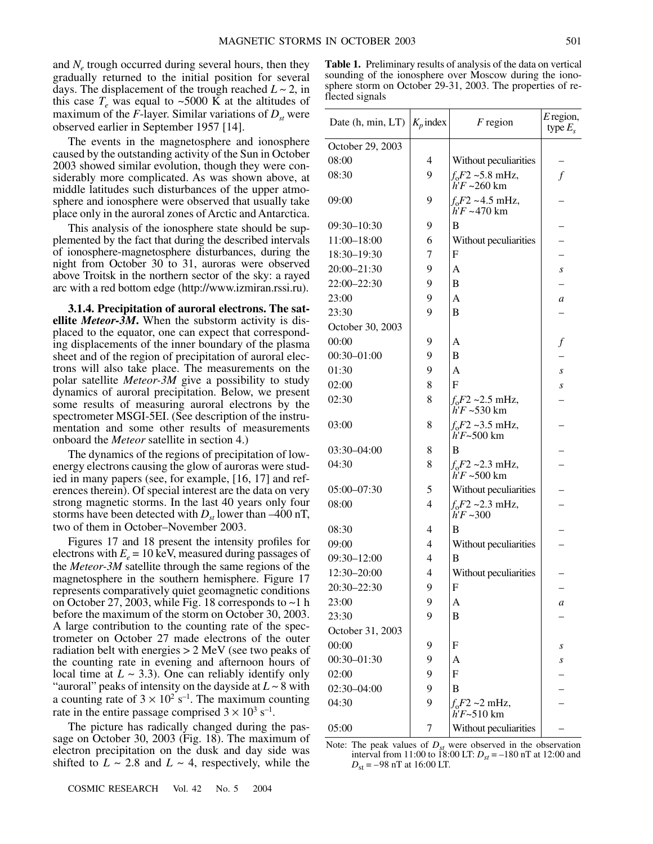and  $N_e$  trough occurred during several hours, then they gradually returned to the initial position for several days. The displacement of the trough reached  $L \sim 2$ , in this case  $T_e$  was equal to ~5000 K at the altitudes of maximum of the  $F$ -layer. Similar variations of  $D_{st}$  were observed earlier in September 1957 [14].

The events in the magnetosphere and ionosphere caused by the outstanding activity of the Sun in October 2003 showed similar evolution, though they were considerably more complicated. As was shown above, at middle latitudes such disturbances of the upper atmosphere and ionosphere were observed that usually take place only in the auroral zones of Arctic and Antarctica.

This analysis of the ionosphere state should be supplemented by the fact that during the described intervals of ionosphere-magnetosphere disturbances, during the night from October 30 to 31, auroras were observed above Troitsk in the northern sector of the sky: a rayed arc with a red bottom edge (http://www.izmiran.rssi.ru).

**3.1.4. Precipitation of auroral electrons. The satellite** *Meteor-3M***.** When the substorm activity is displaced to the equator, one can expect that corresponding displacements of the inner boundary of the plasma sheet and of the region of precipitation of auroral electrons will also take place. The measurements on the polar satellite *Meteor-3M* give a possibility to study dynamics of auroral precipitation. Below, we present some results of measuring auroral electrons by the spectrometer MSGI-5EI. (See description of the instrumentation and some other results of measurements onboard the *Meteor* satellite in section 4.)

The dynamics of the regions of precipitation of lowenergy electrons causing the glow of auroras were studied in many papers (see, for example, [16, 17] and references therein). Of special interest are the data on very strong magnetic storms. In the last 40 years only four storms have been detected with  $D_{st}$  lower than  $-400$  nT, two of them in October–November 2003.

Figures 17 and 18 present the intensity profiles for electrons with  $E_e = 10$  keV, measured during passages of the *Meteor-3M* satellite through the same regions of the magnetosphere in the southern hemisphere. Figure 17 represents comparatively quiet geomagnetic conditions on October 27, 2003, while Fig. 18 corresponds to ~1 h before the maximum of the storm on October 30, 2003. A large contribution to the counting rate of the spectrometer on October 27 made electrons of the outer radiation belt with energies > 2 MeV (see two peaks of the counting rate in evening and afternoon hours of local time at  $L \sim 3.3$ ). One can reliably identify only "auroral" peaks of intensity on the dayside at  $L \sim 8$  with a counting rate of  $3 \times 10^2$  s<sup>-1</sup>. The maximum counting rate in the entire passage comprised  $3 \times 10^3$  s<sup>-1</sup>.

The picture has radically changed during the passage on October 30, 2003 (Fig. 18). The maximum of electron precipitation on the dusk and day side was shifted to  $L \sim 2.8$  and  $L \sim 4$ , respectively, while the

**Table 1.** Preliminary results of analysis of the data on vertical sounding of the ionosphere over Moscow during the ionosphere storm on October 29-31, 2003. The properties of reflected signals

| Date (h, min, LT) | $K_p$ index    | $F$ region                                                  | $E$ region,<br>type $E_s$ |
|-------------------|----------------|-------------------------------------------------------------|---------------------------|
| October 29, 2003  |                |                                                             |                           |
| 08:00             | 4              | Without peculiarities                                       |                           |
| 08:30             | 9              | $f_0F2 \sim 5.8$ mHz,<br>$h$ F ~260 km                      | $\int f$                  |
| 09:00             | 9              | $f_0F2 \sim 4.5$ mHz,<br>$h$ ' $F \sim 470$ km              |                           |
| $09:30 - 10:30$   | 9              | B                                                           |                           |
| 11:00-18:00       | 6              | Without peculiarities                                       |                           |
| 18:30-19:30       | 7              | F                                                           |                           |
| 20:00-21:30       | 9              | А                                                           | S                         |
| 22:00-22:30       | 9              | B                                                           |                           |
| 23:00             | 9              | A                                                           | a                         |
| 23:30             | 9              | B                                                           |                           |
| October 30, 2003  |                |                                                             |                           |
| 00:00             | 9              | A                                                           | f                         |
| $00:30 - 01:00$   | 9              | B                                                           |                           |
| 01:30             | 9              | A                                                           | S                         |
| 02:00             | 8              | F                                                           | S                         |
| 02:30             | 8              | $f_0F2 \sim 2.5$ mHz,                                       |                           |
| 03:00             | 8              | $h$ F ~530 km<br>$f_0F2 \sim 3.5$ mHz,<br>$h$ ' $F$ ~500 km |                           |
| $03:30 - 04:00$   | 8              | B                                                           |                           |
| 04:30             | 8              | $f_0F2 \sim 2.3$ mHz,                                       |                           |
|                   |                | $h$ 'F ~500 km                                              |                           |
| 05:00-07:30       | 5              | Without peculiarities                                       |                           |
| 08:00             | $\overline{4}$ | $f_0F2 \sim 2.3$ mHz,<br>$h$ F ~300                         |                           |
| 08:30             | 4              | В                                                           |                           |
| 09:00             | 4              | Without peculiarities                                       |                           |
| $09:30 - 12:00$   | 4              | В                                                           |                           |
| 12:30-20:00       | 4              | Without peculiarities                                       |                           |
| 20:30-22:30       | 9              | F                                                           |                           |
| 23:00             | 9              | А<br>a                                                      |                           |
| 23:30             | 9              | В                                                           |                           |
| October 31, 2003  |                |                                                             |                           |
| 00:00             | 9              | F                                                           | S                         |
| $00:30 - 01:30$   | 9              | Α                                                           | S                         |
| 02:00             | 9              | F                                                           |                           |
| $02:30 - 04:00$   | 9              | B                                                           |                           |
| 04:30             | 9              | $f_0F2 \sim 2$ mHz,                                         |                           |
|                   |                | $h$ ' $F$ ~510 km                                           |                           |
| 05:00             | 7              | Without peculiarities                                       |                           |

Note: The peak values of  $D_{st}$  were observed in the observation interval from 11:00 to 18:00 LT:  $D_{st} = -180$  nT at 12:00 and  $D_{st}$  = –98 nT at 16:00 LT.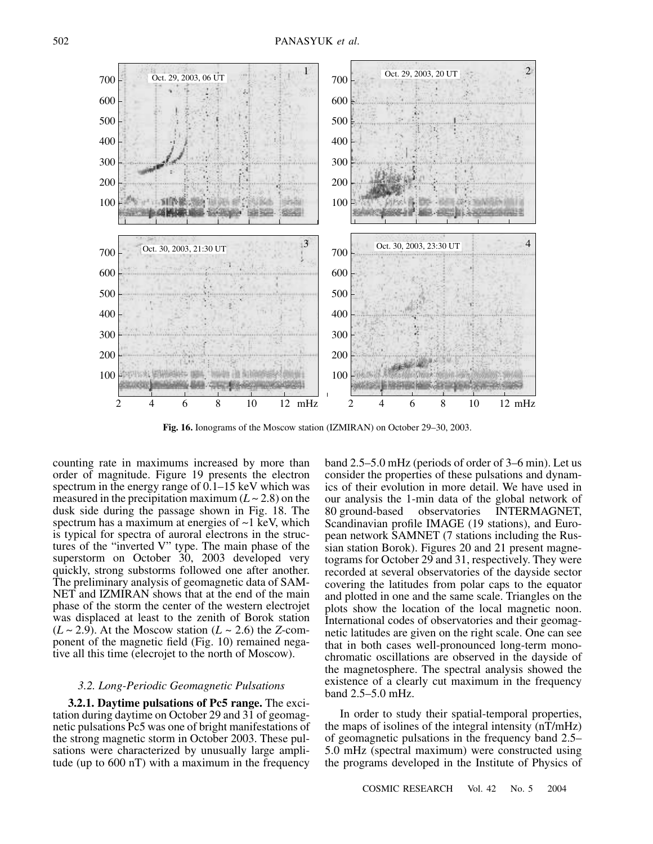

**Fig. 16.** Ionograms of the Moscow station (IZMIRAN) on October 29–30, 2003.

counting rate in maximums increased by more than order of magnitude. Figure 19 presents the electron spectrum in the energy range of 0.1–15 keV which was measured in the precipitation maximum  $(L \sim 2.8)$  on the dusk side during the passage shown in Fig. 18. The spectrum has a maximum at energies of  $\sim$ 1 keV, which is typical for spectra of auroral electrons in the structures of the "inverted V" type. The main phase of the superstorm on October 30, 2003 developed very quickly, strong substorms followed one after another. The preliminary analysis of geomagnetic data of SAM-NET and IZMIRAN shows that at the end of the main phase of the storm the center of the western electrojet was displaced at least to the zenith of Borok station  $(L \sim 2.9)$ . At the Moscow station  $(L \sim 2.6)$  the *Z*-component of the magnetic field (Fig. 10) remained negative all this time (elecrojet to the north of Moscow).

## *3.2. Long-Periodic Geomagnetic Pulsations*

**3.2.1. Daytime pulsations of Pc5 range.** The excitation during daytime on October 29 and 31 of geomagnetic pulsations Pc5 was one of bright manifestations of the strong magnetic storm in October 2003. These pulsations were characterized by unusually large amplitude (up to 600 nT) with a maximum in the frequency band 2.5–5.0 mHz (periods of order of 3–6 min). Let us consider the properties of these pulsations and dynamics of their evolution in more detail. We have used in our analysis the 1-min data of the global network of 80 ground-based observatories INTERMAGNET, Scandinavian profile IMAGE (19 stations), and European network SAMNET (7 stations including the Russian station Borok). Figures 20 and 21 present magnetograms for October 29 and 31, respectively. They were recorded at several observatories of the dayside sector covering the latitudes from polar caps to the equator and plotted in one and the same scale. Triangles on the plots show the location of the local magnetic noon. International codes of observatories and their geomagnetic latitudes are given on the right scale. One can see that in both cases well-pronounced long-term monochromatic oscillations are observed in the dayside of the magnetosphere. The spectral analysis showed the existence of a clearly cut maximum in the frequency band 2.5–5.0 mHz.

In order to study their spatial-temporal properties, the maps of isolines of the integral intensity (nT/mHz) of geomagnetic pulsations in the frequency band 2.5– 5.0 mHz (spectral maximum) were constructed using the programs developed in the Institute of Physics of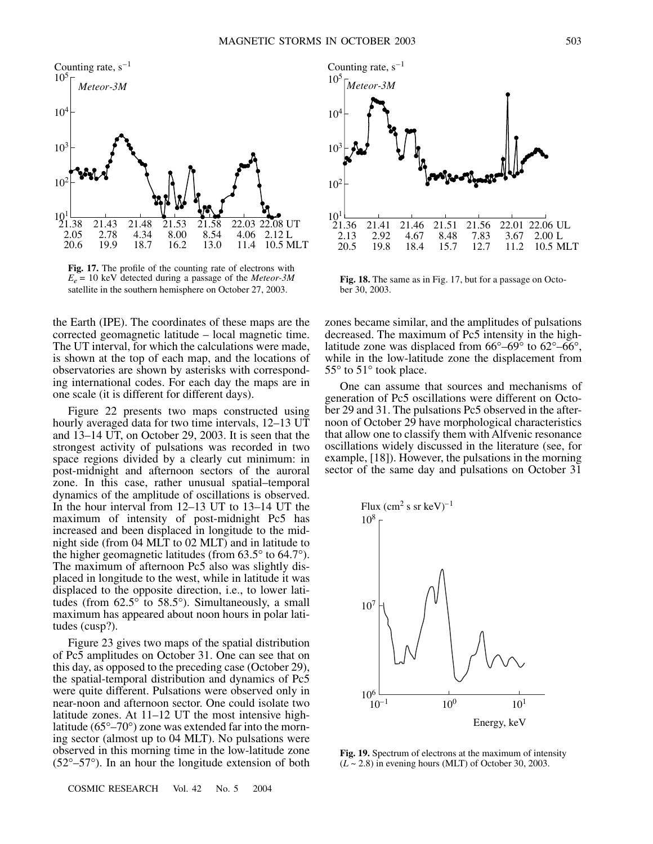

**Fig. 17.** The profile of the counting rate of electrons with  $E_e$  = 10 keV detected during a passage of the *Meteor-3M* satellite in the southern hemisphere on October 27, 2003.

the Earth (IPE). The coordinates of these maps are the corrected geomagnetic latitude – local magnetic time. The UT interval, for which the calculations were made, is shown at the top of each map, and the locations of observatories are shown by asterisks with corresponding international codes. For each day the maps are in one scale (it is different for different days).

Figure 22 presents two maps constructed using hourly averaged data for two time intervals, 12–13 UT and 13–14 UT, on October 29, 2003. It is seen that the strongest activity of pulsations was recorded in two space regions divided by a clearly cut minimum: in post-midnight and afternoon sectors of the auroral zone. In this case, rather unusual spatial–temporal dynamics of the amplitude of oscillations is observed. In the hour interval from 12–13 UT to 13–14 UT the maximum of intensity of post-midnight Pc5 has increased and been displaced in longitude to the midnight side (from 04 MLT to 02 MLT) and in latitude to the higher geomagnetic latitudes (from 63.5° to 64.7°). The maximum of afternoon Pc5 also was slightly displaced in longitude to the west, while in latitude it was displaced to the opposite direction, i.e., to lower latitudes (from 62.5° to 58.5°). Simultaneously, a small maximum has appeared about noon hours in polar latitudes (cusp?).

Figure 23 gives two maps of the spatial distribution of Pc5 amplitudes on October 31. One can see that on this day, as opposed to the preceding case (October 29), the spatial-temporal distribution and dynamics of Pc5 were quite different. Pulsations were observed only in near-noon and afternoon sector. One could isolate two latitude zones. At 11–12 UT the most intensive highlatitude (65°–70°) zone was extended far into the morning sector (almost up to 04 MLT). No pulsations were observed in this morning time in the low-latitude zone  $(52^{\circ}-57^{\circ})$ . In an hour the longitude extension of both

21.41 2.92 19.8 21.36 2.13 20.5 21.46 4.67 18.4 21.51 8.48 15.7 21.56 7.83 12.7 22.01 3.67 11.2 22.06 UL 2.00 L 10.5 MLT  $10^{1}$  $10<sup>2</sup>$  $10^3$  $10<sup>4</sup>$  $10<sup>5</sup>$ Counting rate,  $s^{-1}$ *Meteor-3M*

**Fig. 18.** The same as in Fig. 17, but for a passage on October 30, 2003.

zones became similar, and the amplitudes of pulsations decreased. The maximum of Pc5 intensity in the highlatitude zone was displaced from  $66^{\circ} - 69^{\circ}$  to  $62^{\circ} - 66^{\circ}$ , while in the low-latitude zone the displacement from 55° to 51° took place.

One can assume that sources and mechanisms of generation of Pc5 oscillations were different on October 29 and 31. The pulsations Pc5 observed in the afternoon of October 29 have morphological characteristics that allow one to classify them with Alfvenic resonance oscillations widely discussed in the literature (see, for example, [18]). However, the pulsations in the morning sector of the same day and pulsations on October 31



**Fig. 19.** Spectrum of electrons at the maximum of intensity  $(L \sim 2.8)$  in evening hours (MLT) of October 30, 2003.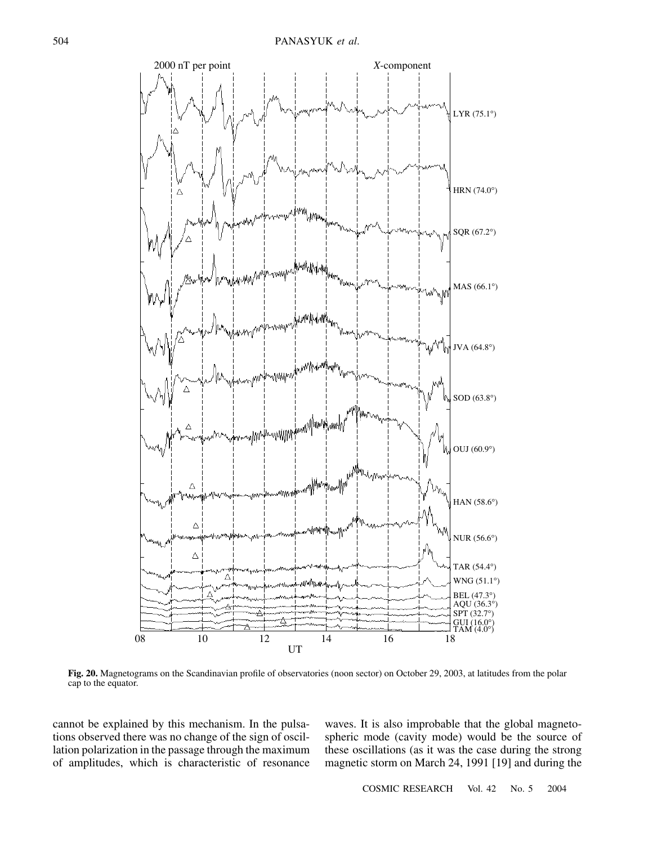

**Fig. 20.** Magnetograms on the Scandinavian profile of observatories (noon sector) on October 29, 2003, at latitudes from the polar cap to the equator.

cannot be explained by this mechanism. In the pulsations observed there was no change of the sign of oscillation polarization in the passage through the maximum of amplitudes, which is characteristic of resonance waves. It is also improbable that the global magnetospheric mode (cavity mode) would be the source of these oscillations (as it was the case during the strong magnetic storm on March 24, 1991 [19] and during the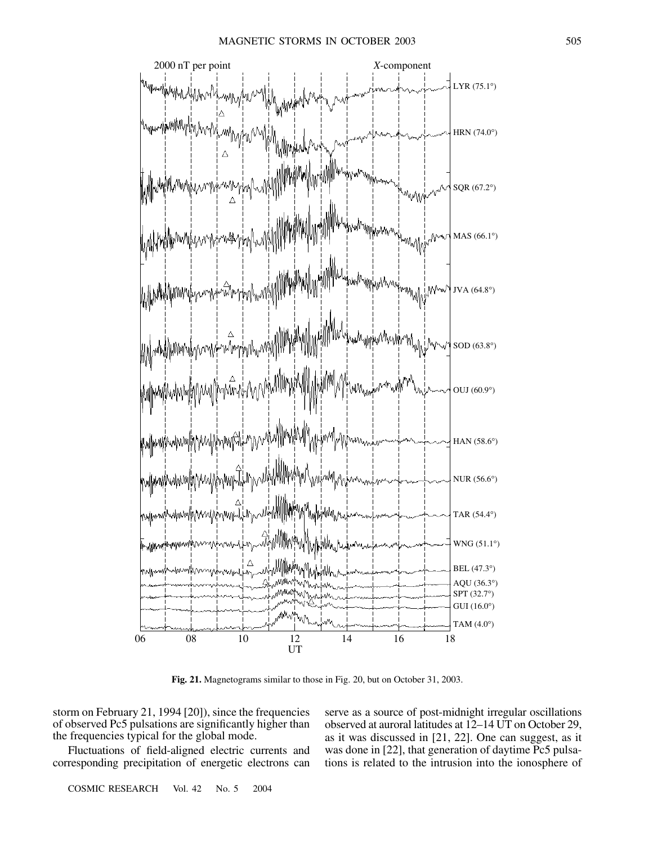

**Fig. 21.** Magnetograms similar to those in Fig. 20, but on October 31, 2003.

storm on February 21, 1994 [20]), since the frequencies of observed Pc5 pulsations are significantly higher than the frequencies typical for the global mode.

Fluctuations of field-aligned electric currents and corresponding precipitation of energetic electrons can serve as a source of post-midnight irregular oscillations observed at auroral latitudes at 12–14 UT on October 29, as it was discussed in [21, 22]. One can suggest, as it was done in [22], that generation of daytime Pc5 pulsations is related to the intrusion into the ionosphere of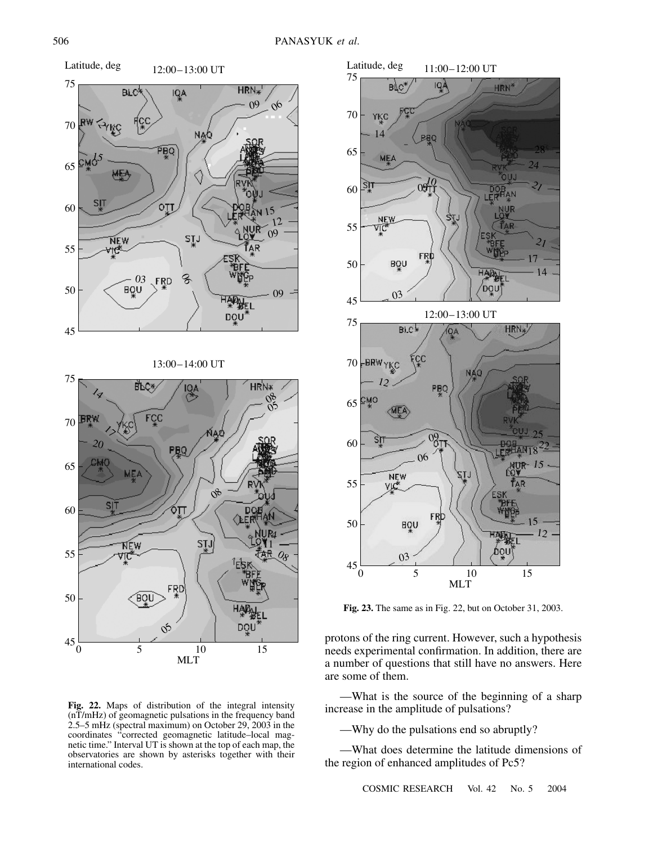

**Fig. 22.** Maps of distribution of the integral intensity (nT/mHz) of geomagnetic pulsations in the frequency band 2.5–5 mHz (spectral maximum) on October 29, 2003 in the coordinates "corrected geomagnetic latitude–local magnetic time." Interval UT is shown at the top of each map, the observatories are shown by asterisks together with their international codes.



**Fig. 23.** The same as in Fig. 22, but on October 31, 2003.

protons of the ring current. However, such a hypothesis needs experimental confirmation. In addition, there are a number of questions that still have no answers. Here are some of them.

—What is the source of the beginning of a sharp increase in the amplitude of pulsations?

—Why do the pulsations end so abruptly?

—What does determine the latitude dimensions of the region of enhanced amplitudes of Pc5?

COSMIC RESEARCH Vol. 42 No. 5 2004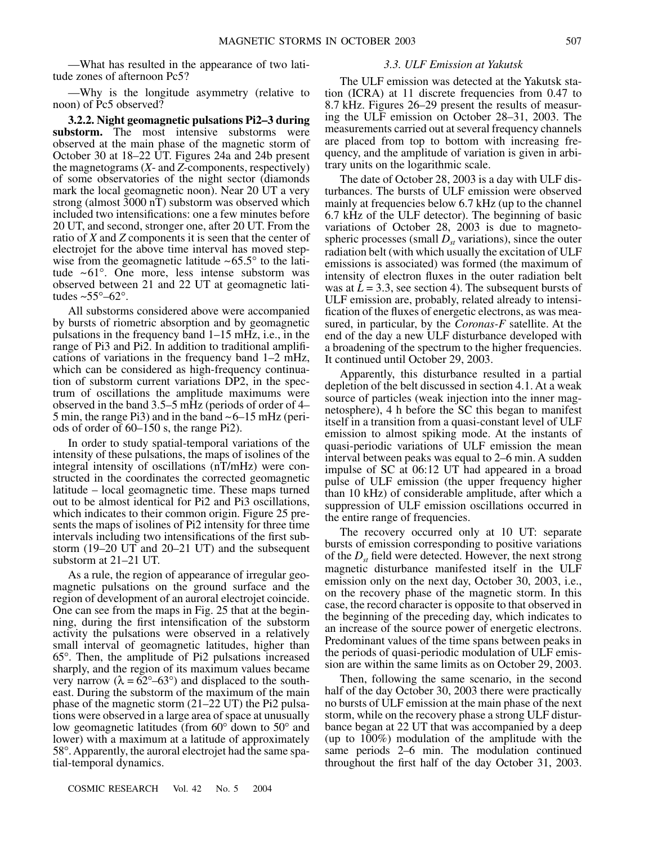—What has resulted in the appearance of two latitude zones of afternoon Pc5?

—Why is the longitude asymmetry (relative to noon) of Pc5 observed?

**3.2.2. Night geomagnetic pulsations Pi2–3 during substorm.** The most intensive substorms were observed at the main phase of the magnetic storm of October 30 at 18–22 UT. Figures 24a and 24b present the magnetograms (*X*- and *Z*-components, respectively) of some observatories of the night sector (diamonds mark the local geomagnetic noon). Near 20 UT a very strong (almost 3000 nT) substorm was observed which included two intensifications: one a few minutes before 20 UT, and second, stronger one, after 20 UT. From the ratio of *X* and *Z* components it is seen that the center of electrojet for the above time interval has moved stepwise from the geomagnetic latitude  $\sim 65.5^{\circ}$  to the latitude ~61°. One more, less intense substorm was observed between 21 and 22 UT at geomagnetic latitudes  $\sim 55^{\circ} - 62^{\circ}$ .

All substorms considered above were accompanied by bursts of riometric absorption and by geomagnetic pulsations in the frequency band 1–15 mHz, i.e., in the range of Pi3 and Pi2. In addition to traditional amplifications of variations in the frequency band 1–2 mHz, which can be considered as high-frequency continuation of substorm current variations DP2, in the spectrum of oscillations the amplitude maximums were observed in the band 3.5–5 mHz (periods of order of 4– 5 min, the range Pi3) and in the band ~6–15 mHz (periods of order of 60–150 s, the range Pi2).

In order to study spatial-temporal variations of the intensity of these pulsations, the maps of isolines of the integral intensity of oscillations (nT/mHz) were constructed in the coordinates the corrected geomagnetic latitude – local geomagnetic time. These maps turned out to be almost identical for Pi2 and Pi3 oscillations, which indicates to their common origin. Figure 25 presents the maps of isolines of Pi2 intensity for three time intervals including two intensifications of the first substorm (19–20 UT and 20–21 UT) and the subsequent substorm at 21–21 UT.

As a rule, the region of appearance of irregular geomagnetic pulsations on the ground surface and the region of development of an auroral electrojet coincide. One can see from the maps in Fig. 25 that at the beginning, during the first intensification of the substorm activity the pulsations were observed in a relatively small interval of geomagnetic latitudes, higher than 65°. Then, the amplitude of Pi2 pulsations increased sharply, and the region of its maximum values became very narrow ( $\lambda = 62^{\circ} - 63^{\circ}$ ) and displaced to the southeast. During the substorm of the maximum of the main phase of the magnetic storm (21–22 UT) the Pi2 pulsations were observed in a large area of space at unusually low geomagnetic latitudes (from 60° down to 50° and lower) with a maximum at a latitude of approximately 58°. Apparently, the auroral electrojet had the same spatial-temporal dynamics.

#### *3.3. ULF Emission at Yakutsk*

The ULF emission was detected at the Yakutsk station (ICRA) at 11 discrete frequencies from 0.47 to 8.7 kHz. Figures 26–29 present the results of measuring the ULF emission on October 28–31, 2003. The measurements carried out at several frequency channels are placed from top to bottom with increasing frequency, and the amplitude of variation is given in arbitrary units on the logarithmic scale.

The date of October 28, 2003 is a day with ULF disturbances. The bursts of ULF emission were observed mainly at frequencies below 6.7 kHz (up to the channel 6.7 kHz of the ULF detector). The beginning of basic variations of October 28, 2003 is due to magnetospheric processes (small  $D_{st}$  variations), since the outer radiation belt (with which usually the excitation of ULF emissions is associated) was formed (the maximum of intensity of electron fluxes in the outer radiation belt was at  $L = 3.3$ , see section 4). The subsequent bursts of ULF emission are, probably, related already to intensification of the fluxes of energetic electrons, as was measured, in particular, by the *Coronas-F* satellite. At the end of the day a new ULF disturbance developed with a broadening of the spectrum to the higher frequencies. It continued until October 29, 2003.

Apparently, this disturbance resulted in a partial depletion of the belt discussed in section 4.1. At a weak source of particles (weak injection into the inner magnetosphere), 4 h before the SC this began to manifest itself in a transition from a quasi-constant level of ULF emission to almost spiking mode. At the instants of quasi-periodic variations of ULF emission the mean interval between peaks was equal to 2–6 min. A sudden impulse of SC at 06:12 UT had appeared in a broad pulse of ULF emission (the upper frequency higher than 10 kHz) of considerable amplitude, after which a suppression of ULF emission oscillations occurred in the entire range of frequencies.

The recovery occurred only at 10 UT: separate bursts of emission corresponding to positive variations of the  $D_{\alpha}$  field were detected. However, the next strong magnetic disturbance manifested itself in the ULF emission only on the next day, October 30, 2003, i.e., on the recovery phase of the magnetic storm. In this case, the record character is opposite to that observed in the beginning of the preceding day, which indicates to an increase of the source power of energetic electrons. Predominant values of the time spans between peaks in the periods of quasi-periodic modulation of ULF emission are within the same limits as on October 29, 2003.

Then, following the same scenario, in the second half of the day October 30, 2003 there were practically no bursts of ULF emission at the main phase of the next storm, while on the recovery phase a strong ULF disturbance began at 22 UT that was accompanied by a deep (up to 100%) modulation of the amplitude with the same periods 2–6 min. The modulation continued throughout the first half of the day October 31, 2003.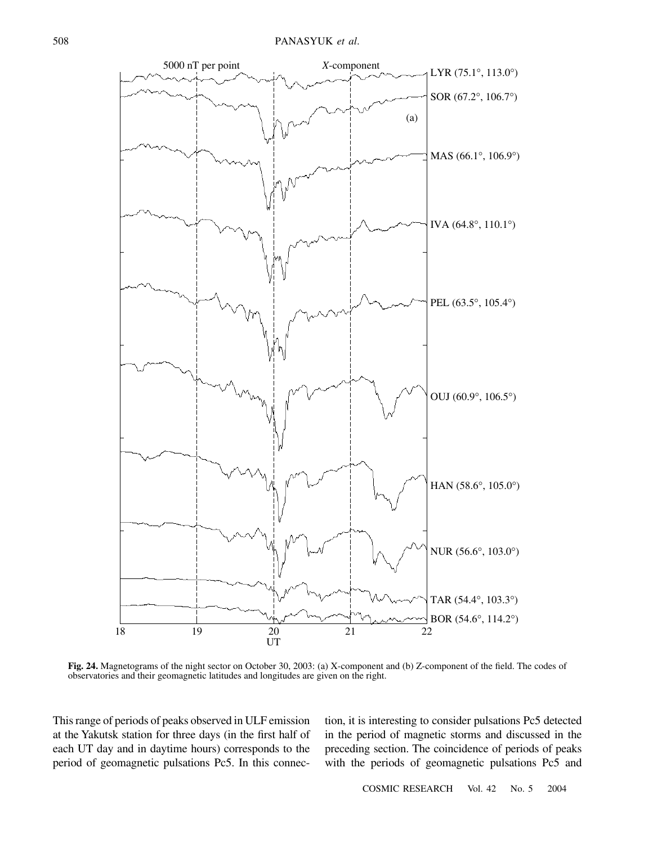

**Fig. 24.** Magnetograms of the night sector on October 30, 2003: (a) X-component and (b) Z-component of the field. The codes of observatories and their geomagnetic latitudes and longitudes are given on the right.

This range of periods of peaks observed in ULF emission at the Yakutsk station for three days (in the first half of each UT day and in daytime hours) corresponds to the period of geomagnetic pulsations Pc5. In this connection, it is interesting to consider pulsations Pc5 detected in the period of magnetic storms and discussed in the preceding section. The coincidence of periods of peaks with the periods of geomagnetic pulsations Pc5 and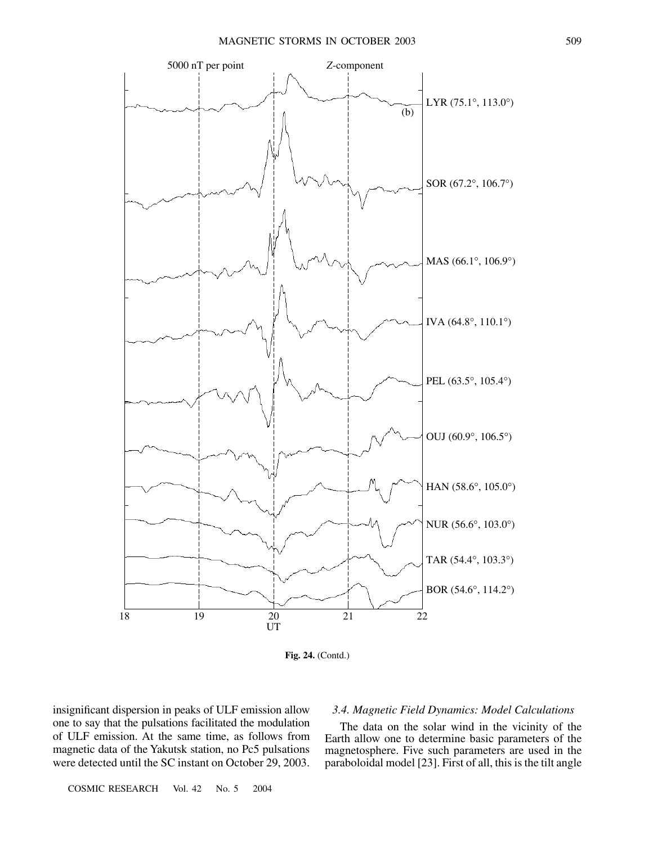

**Fig. 24.** (Contd.)

insignificant dispersion in peaks of ULF emission allow one to say that the pulsations facilitated the modulation of ULF emission. At the same time, as follows from magnetic data of the Yakutsk station, no Pc5 pulsations were detected until the SC instant on October 29, 2003.

# *3.4. Magnetic Field Dynamics: Model Calculations*

The data on the solar wind in the vicinity of the Earth allow one to determine basic parameters of the magnetosphere. Five such parameters are used in the paraboloidal model [23]. First of all, this is the tilt angle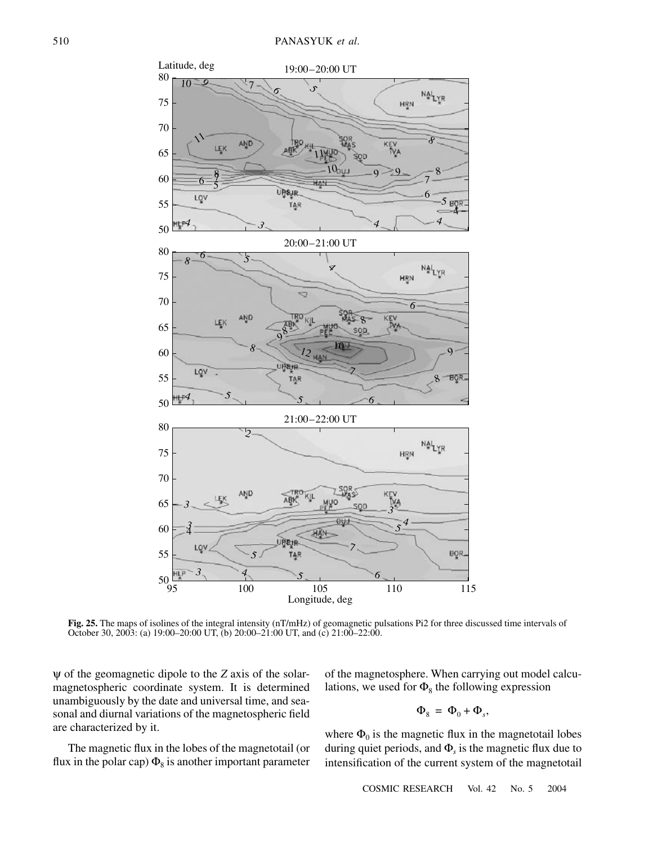

**Fig. 25.** The maps of isolines of the integral intensity (nT/mHz) of geomagnetic pulsations Pi2 for three discussed time intervals of October 30, 2003: (a) 19:00–20:00 UT, (b) 20:00–21:00 UT, and (c) 21:00–22:00.

ψ of the geomagnetic dipole to the *Z* axis of the solarmagnetospheric coordinate system. It is determined unambiguously by the date and universal time, and seasonal and diurnal variations of the magnetospheric field are characterized by it.

of the magnetosphere. When carrying out model calculations, we used for  $\Phi_8$  the following expression

$$
\Phi_8 = \Phi_0 + \Phi_s,
$$

The magnetic flux in the lobes of the magnetotail (or flux in the polar cap)  $\Phi_8$  is another important parameter where  $\Phi_0$  is the magnetic flux in the magnetotail lobes during quiet periods, and Φ*s* is the magnetic flux due to intensification of the current system of the magnetotail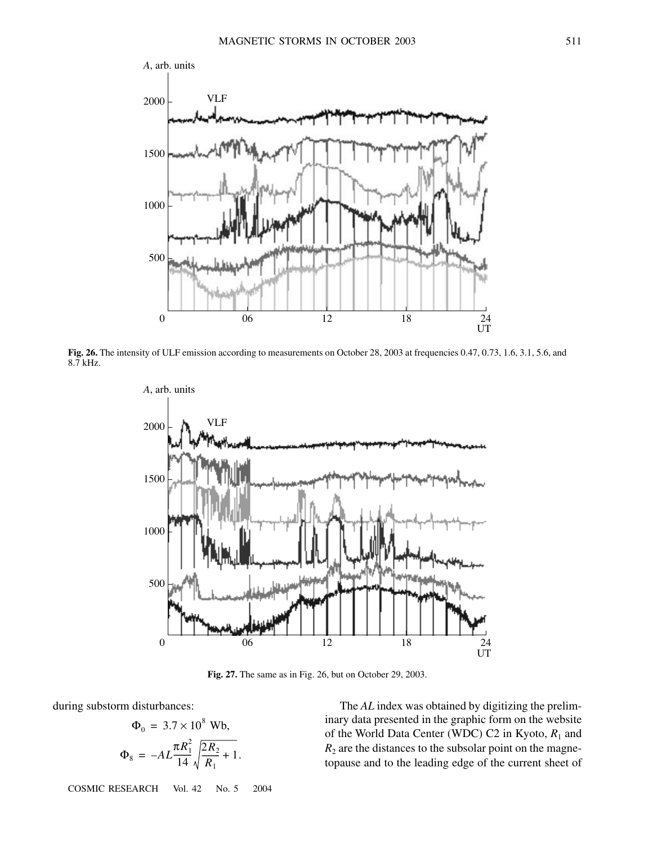

**Fig. 26.** The intensity of ULF emission according to measurements on October 28, 2003 at frequencies 0.47, 0.73, 1.6, 3.1, 5.6, and 8.7 kHz.



**Fig. 27.** The same as in Fig. 26, but on October 29, 2003.

during substorm disturbances:

$$
\Phi_0 = 3.7 \times 10^8 \text{ Wb},
$$
  

$$
\Phi_8 = -AL \frac{\pi R_1^2}{14} \sqrt{\frac{2R_2}{R_1} + 1}.
$$

The *AL* index was obtained by digitizing the preliminary data presented in the graphic form on the website of the World Data Center (WDC) C2 in Kyoto,  $R_1$  and  $R<sub>2</sub>$  are the distances to the subsolar point on the magnetopause and to the leading edge of the current sheet of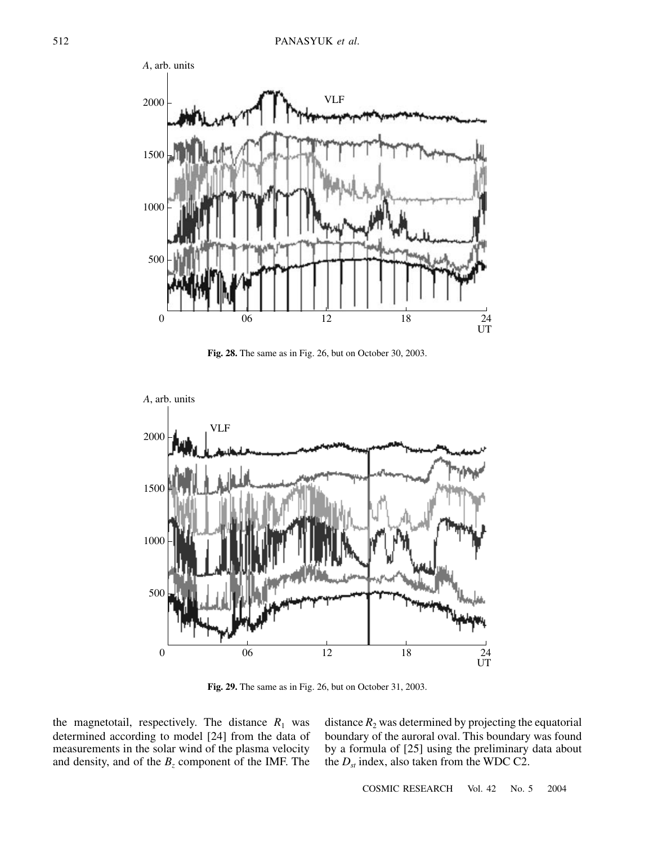

**Fig. 28.** The same as in Fig. 26, but on October 30, 2003.

![](_page_23_Figure_3.jpeg)

**Fig. 29.** The same as in Fig. 26, but on October 31, 2003.

the magnetotail, respectively. The distance  $R_1$  was determined according to model [24] from the data of measurements in the solar wind of the plasma velocity and density, and of the  $B_z$  component of the IMF. The

distance  $R_2$  was determined by projecting the equatorial boundary of the auroral oval. This boundary was found by a formula of [25] using the preliminary data about the  $D_{st}$  index, also taken from the WDC C2.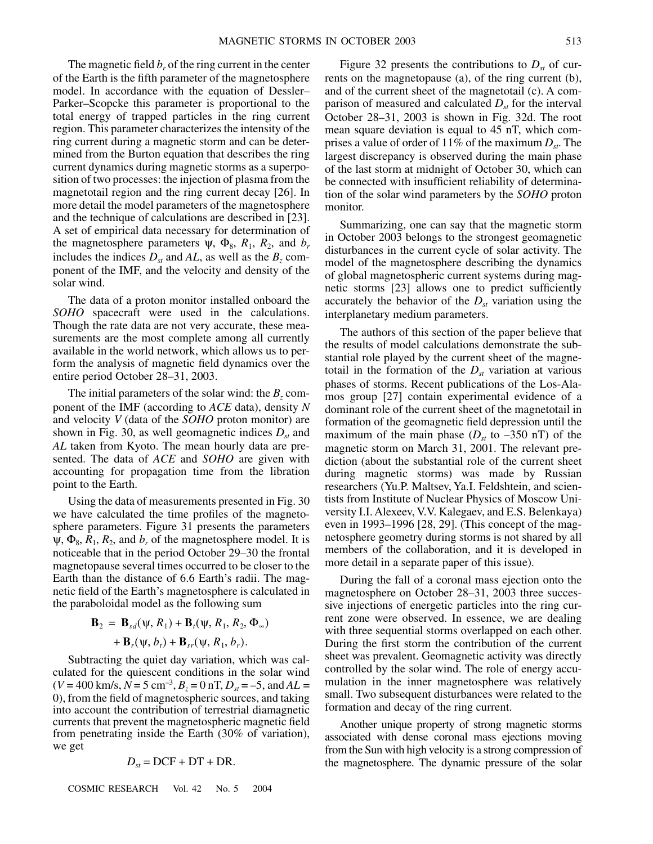The magnetic field  $b<sub>r</sub>$  of the ring current in the center of the Earth is the fifth parameter of the magnetosphere model. In accordance with the equation of Dessler– Parker–Scopcke this parameter is proportional to the total energy of trapped particles in the ring current region. This parameter characterizes the intensity of the ring current during a magnetic storm and can be determined from the Burton equation that describes the ring current dynamics during magnetic storms as a superposition of two processes: the injection of plasma from the magnetotail region and the ring current decay [26]. In more detail the model parameters of the magnetosphere and the technique of calculations are described in [23]. A set of empirical data necessary for determination of the magnetosphere parameters  $\psi$ ,  $\Phi_8$ ,  $R_1$ ,  $R_2$ , and  $b_r$ includes the indices  $D_{st}$  and  $AL$ , as well as the  $B_z$  component of the IMF, and the velocity and density of the solar wind.

The data of a proton monitor installed onboard the *SOHO* spacecraft were used in the calculations. Though the rate data are not very accurate, these measurements are the most complete among all currently available in the world network, which allows us to perform the analysis of magnetic field dynamics over the entire period October 28–31, 2003.

The initial parameters of the solar wind: the  $B<sub>z</sub>$  component of the IMF (according to *ACE* data), density *N* and velocity *V* (data of the *SOHO* proton monitor) are shown in Fig. 30, as well geomagnetic indices  $D_{st}$  and *AL* taken from Kyoto. The mean hourly data are presented. The data of *ACE* and *SOHO* are given with accounting for propagation time from the libration point to the Earth.

Using the data of measurements presented in Fig. 30 we have calculated the time profiles of the magnetosphere parameters. Figure 31 presents the parameters  $\psi$ ,  $\Phi_8$ ,  $R_1$ ,  $R_2$ , and  $b_r$  of the magnetosphere model. It is noticeable that in the period October 29–30 the frontal magnetopause several times occurred to be closer to the Earth than the distance of 6.6 Earth's radii. The magnetic field of the Earth's magnetosphere is calculated in the paraboloidal model as the following sum

$$
\mathbf{B}_2 = \mathbf{B}_{sd}(\psi, R_1) + \mathbf{B}_t(\psi, R_1, R_2, \Phi_\infty)
$$
  
+ 
$$
\mathbf{B}_r(\psi, b_t) + \mathbf{B}_{sr}(\psi, R_1, b_r).
$$

Subtracting the quiet day variation, which was calculated for the quiescent conditions in the solar wind  $(V = 400 \text{ km/s}, N = 5 \text{ cm}^{-3}, B_z = 0 \text{ nT}, D_{st} = -5, \text{ and } AL =$ 0), from the field of magnetospheric sources, and taking into account the contribution of terrestrial diamagnetic currents that prevent the magnetospheric magnetic field from penetrating inside the Earth (30% of variation), we get

$$
D_{st} = DCF + DT + DR.
$$

COSMIC RESEARCH Vol. 42 No. 5 2004

Figure 32 presents the contributions to  $D_{st}$  of currents on the magnetopause (a), of the ring current (b), and of the current sheet of the magnetotail (c). A comparison of measured and calculated  $D_{st}$  for the interval October 28–31, 2003 is shown in Fig. 32d. The root mean square deviation is equal to 45 nT, which comprises a value of order of 11% of the maximum  $D_{st}$ . The largest discrepancy is observed during the main phase of the last storm at midnight of October 30, which can be connected with insufficient reliability of determination of the solar wind parameters by the *SOHO* proton monitor.

Summarizing, one can say that the magnetic storm in October 2003 belongs to the strongest geomagnetic disturbances in the current cycle of solar activity. The model of the magnetosphere describing the dynamics of global magnetospheric current systems during magnetic storms [23] allows one to predict sufficiently accurately the behavior of the  $D_{st}$  variation using the interplanetary medium parameters.

The authors of this section of the paper believe that the results of model calculations demonstrate the substantial role played by the current sheet of the magnetotail in the formation of the  $D_{st}$  variation at various phases of storms. Recent publications of the Los-Alamos group [27] contain experimental evidence of a dominant role of the current sheet of the magnetotail in formation of the geomagnetic field depression until the maximum of the main phase  $(D_{st}$  to  $-350$  nT) of the magnetic storm on March 31, 2001. The relevant prediction (about the substantial role of the current sheet during magnetic storms) was made by Russian researchers (Yu.P. Maltsev, Ya.I. Feldshtein, and scientists from Institute of Nuclear Physics of Moscow University I.I. Alexeev, V.V. Kalegaev, and E.S. Belenkaya) even in 1993–1996 [28, 29]. (This concept of the magnetosphere geometry during storms is not shared by all members of the collaboration, and it is developed in more detail in a separate paper of this issue).

During the fall of a coronal mass ejection onto the magnetosphere on October 28–31, 2003 three successive injections of energetic particles into the ring current zone were observed. In essence, we are dealing with three sequential storms overlapped on each other. During the first storm the contribution of the current sheet was prevalent. Geomagnetic activity was directly controlled by the solar wind. The role of energy accumulation in the inner magnetosphere was relatively small. Two subsequent disturbances were related to the formation and decay of the ring current.

Another unique property of strong magnetic storms associated with dense coronal mass ejections moving from the Sun with high velocity is a strong compression of the magnetosphere. The dynamic pressure of the solar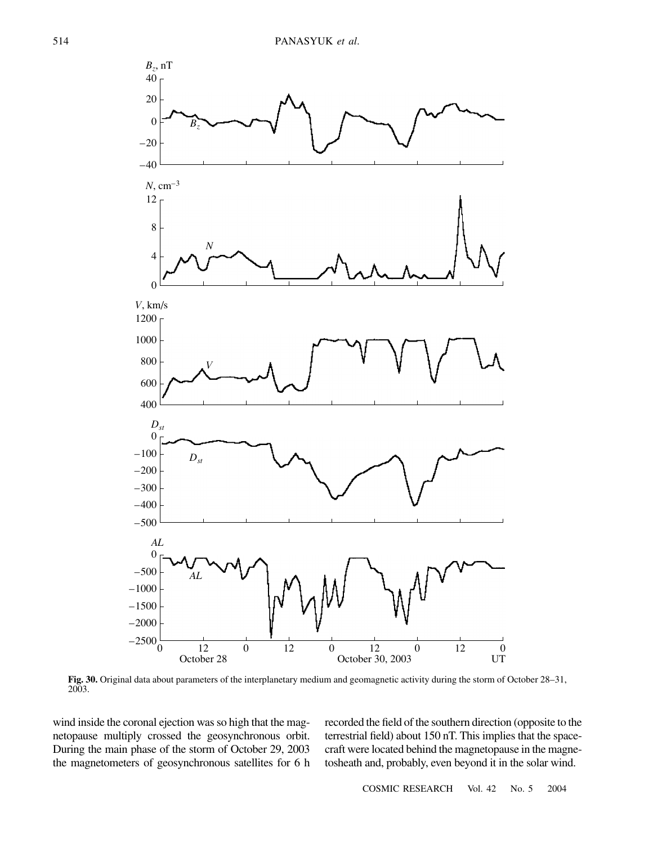![](_page_25_Figure_2.jpeg)

**Fig. 30.** Original data about parameters of the interplanetary medium and geomagnetic activity during the storm of October 28–31, 2003.

wind inside the coronal ejection was so high that the magnetopause multiply crossed the geosynchronous orbit. During the main phase of the storm of October 29, 2003 the magnetometers of geosynchronous satellites for 6 h recorded the field of the southern direction (opposite to the terrestrial field) about 150 nT. This implies that the spacecraft were located behind the magnetopause in the magnetosheath and, probably, even beyond it in the solar wind.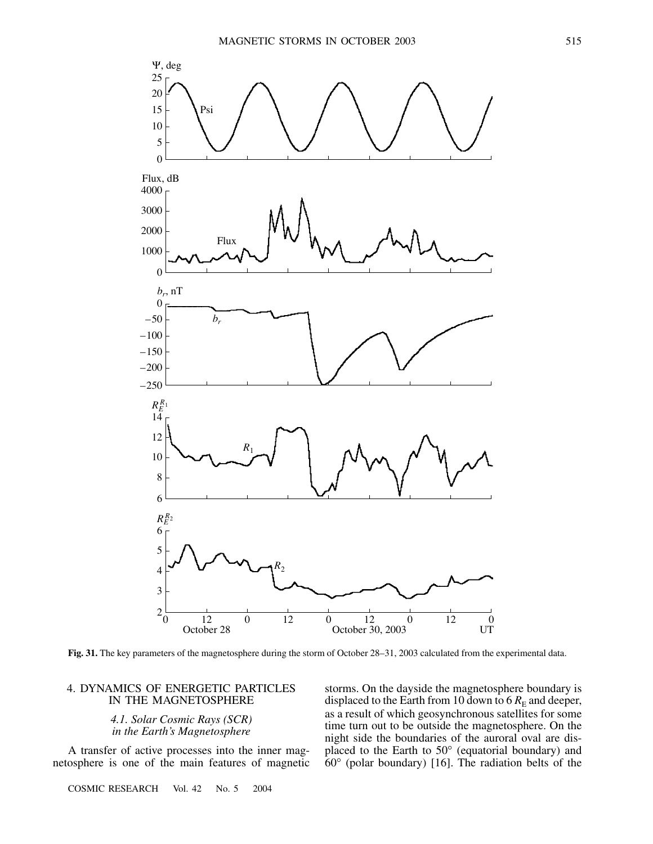![](_page_26_Figure_1.jpeg)

**Fig. 31.** The key parameters of the magnetosphere during the storm of October 28–31, 2003 calculated from the experimental data.

## 4. DYNAMICS OF ENERGETIC PARTICLES IN THE MAGNETOSPHERE

*4.1. Solar Cosmic Rays (SCR) in the Earth's Magnetosphere*

A transfer of active processes into the inner magnetosphere is one of the main features of magnetic

COSMIC RESEARCH Vol. 42 No. 5 2004

storms. On the dayside the magnetosphere boundary is displaced to the Earth from 10 down to 6  $R<sub>E</sub>$  and deeper, as a result of which geosynchronous satellites for some time turn out to be outside the magnetosphere. On the night side the boundaries of the auroral oval are dis-

placed to the Earth to 50° (equatorial boundary) and 60° (polar boundary) [16]. The radiation belts of the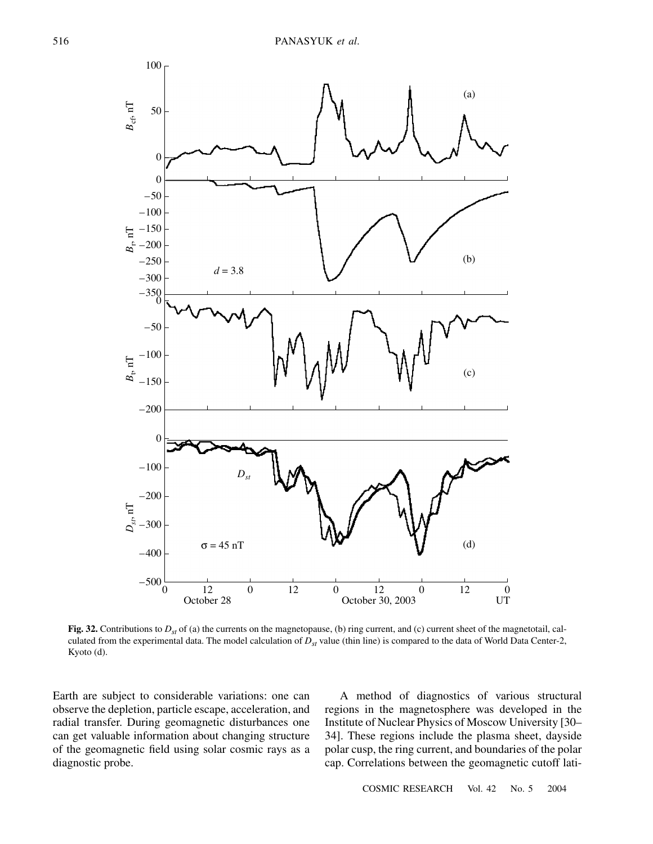![](_page_27_Figure_2.jpeg)

**Fig. 32.** Contributions to  $D_{st}$  of (a) the currents on the magnetopause, (b) ring current, and (c) current sheet of the magnetotail, calculated from the experimental data. The model calculation of  $D_{st}$  value (thin line) is compared to the data of World Data Center-2, Kyoto (d).

Earth are subject to considerable variations: one can observe the depletion, particle escape, acceleration, and radial transfer. During geomagnetic disturbances one can get valuable information about changing structure of the geomagnetic field using solar cosmic rays as a diagnostic probe.

A method of diagnostics of various structural regions in the magnetosphere was developed in the Institute of Nuclear Physics of Moscow University [30– 34]. These regions include the plasma sheet, dayside polar cusp, the ring current, and boundaries of the polar cap. Correlations between the geomagnetic cutoff lati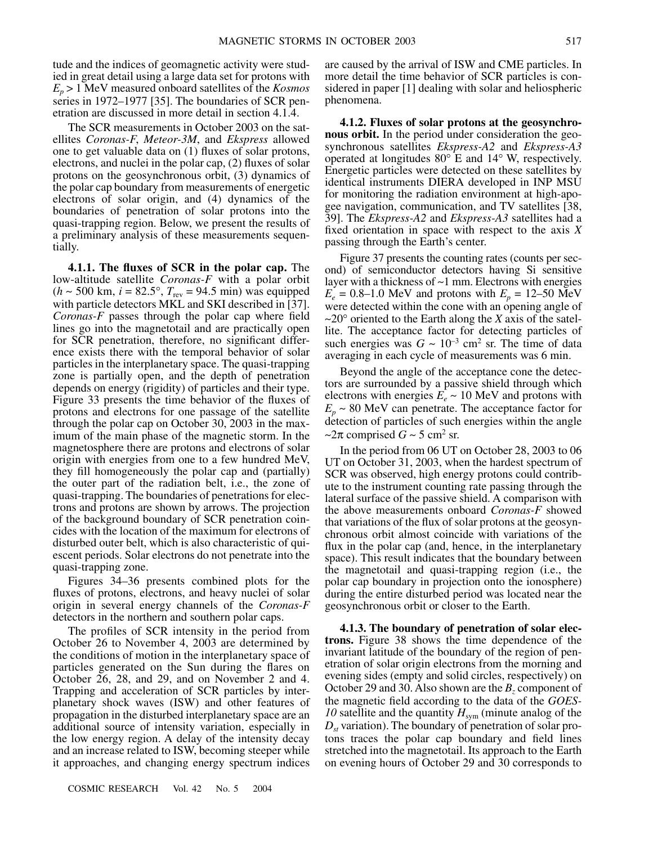tude and the indices of geomagnetic activity were studied in great detail using a large data set for protons with *Ep* > 1 MeV measured onboard satellites of the *Kosmos* series in 1972–1977 [35]. The boundaries of SCR penetration are discussed in more detail in section 4.1.4.

The SCR measurements in October 2003 on the satellites *Coronas-F*, *Meteor-3M*, and *Ekspress* allowed one to get valuable data on (1) fluxes of solar protons, electrons, and nuclei in the polar cap, (2) fluxes of solar protons on the geosynchronous orbit, (3) dynamics of the polar cap boundary from measurements of energetic electrons of solar origin, and (4) dynamics of the boundaries of penetration of solar protons into the quasi-trapping region. Below, we present the results of a preliminary analysis of these measurements sequentially.

**4.1.1. The fluxes of SCR in the polar cap.** The low-altitude satellite *Coronas-F* with a polar orbit  $(h \sim 500 \text{ km}, i = 82.5^{\circ}, T_{\text{rev}} = 94.5 \text{ min})$  was equipped with particle detectors MKL and SKI described in [37]. *Coronas-F* passes through the polar cap where field lines go into the magnetotail and are practically open for SCR penetration, therefore, no significant difference exists there with the temporal behavior of solar particles in the interplanetary space. The quasi-trapping zone is partially open, and the depth of penetration depends on energy (rigidity) of particles and their type. Figure 33 presents the time behavior of the fluxes of protons and electrons for one passage of the satellite through the polar cap on October 30, 2003 in the maximum of the main phase of the magnetic storm. In the magnetosphere there are protons and electrons of solar origin with energies from one to a few hundred MeV, they fill homogeneously the polar cap and (partially) the outer part of the radiation belt, i.e., the zone of quasi-trapping. The boundaries of penetrations for electrons and protons are shown by arrows. The projection of the background boundary of SCR penetration coincides with the location of the maximum for electrons of disturbed outer belt, which is also characteristic of quiescent periods. Solar electrons do not penetrate into the quasi-trapping zone.

Figures 34–36 presents combined plots for the fluxes of protons, electrons, and heavy nuclei of solar origin in several energy channels of the *Coronas-F* detectors in the northern and southern polar caps.

The profiles of SCR intensity in the period from October 26 to November 4, 2003 are determined by the conditions of motion in the interplanetary space of particles generated on the Sun during the flares on October 26, 28, and 29, and on November 2 and 4. Trapping and acceleration of SCR particles by interplanetary shock waves (ISW) and other features of propagation in the disturbed interplanetary space are an additional source of intensity variation, especially in the low energy region. A delay of the intensity decay and an increase related to ISW, becoming steeper while it approaches, and changing energy spectrum indices

are caused by the arrival of ISW and CME particles. In more detail the time behavior of SCR particles is considered in paper [1] dealing with solar and heliospheric phenomena.

**4.1.2. Fluxes of solar protons at the geosynchronous orbit.** In the period under consideration the geosynchronous satellites *Ekspress-A2* and *Ekspress-A3* operated at longitudes 80° E and 14° W, respectively. Energetic particles were detected on these satellites by identical instruments DIERA developed in INP MSU for monitoring the radiation environment at high-apogee navigation, communication, and TV satellites [38, 39]. The *Ekspress-A2* and *Ekspress-A3* satellites had a fixed orientation in space with respect to the axis *X* passing through the Earth's center.

Figure 37 presents the counting rates (counts per second) of semiconductor detectors having Si sensitive layer with a thickness of  $\sim$ 1 mm. Electrons with energies  $E_e = 0.8{\text -}1.0 \text{ MeV}$  and protons with  $E_p = 12{\text -}50 \text{ MeV}$ were detected within the cone with an opening angle of ~20° oriented to the Earth along the *X* axis of the satellite. The acceptance factor for detecting particles of such energies was  $G \sim 10^{-3}$  cm<sup>2</sup> sr. The time of data averaging in each cycle of measurements was 6 min.

Beyond the angle of the acceptance cone the detectors are surrounded by a passive shield through which electrons with energies  $E_e \sim 10 \text{ MeV}$  and protons with  $E_p \sim 80$  MeV can penetrate. The acceptance factor for detection of particles of such energies within the angle  $\sim$ 2 $\pi$  comprised  $G \sim 5$  cm<sup>2</sup> sr.

In the period from 06 UT on October 28, 2003 to 06 UT on October 31, 2003, when the hardest spectrum of SCR was observed, high energy protons could contribute to the instrument counting rate passing through the lateral surface of the passive shield. A comparison with the above measurements onboard *Coronas-F* showed that variations of the flux of solar protons at the geosynchronous orbit almost coincide with variations of the flux in the polar cap (and, hence, in the interplanetary space). This result indicates that the boundary between the magnetotail and quasi-trapping region (i.e., the polar cap boundary in projection onto the ionosphere) during the entire disturbed period was located near the geosynchronous orbit or closer to the Earth.

**4.1.3. The boundary of penetration of solar electrons.** Figure 38 shows the time dependence of the invariant latitude of the boundary of the region of penetration of solar origin electrons from the morning and evening sides (empty and solid circles, respectively) on October 29 and 30. Also shown are the *B<sub>z</sub>* component of the magnetic field according to the data of the *GOES-10* satellite and the quantity  $H_{sym}$  (minute analog of the  $D_{st}$  variation). The boundary of penetration of solar protons traces the polar cap boundary and field lines stretched into the magnetotail. Its approach to the Earth on evening hours of October 29 and 30 corresponds to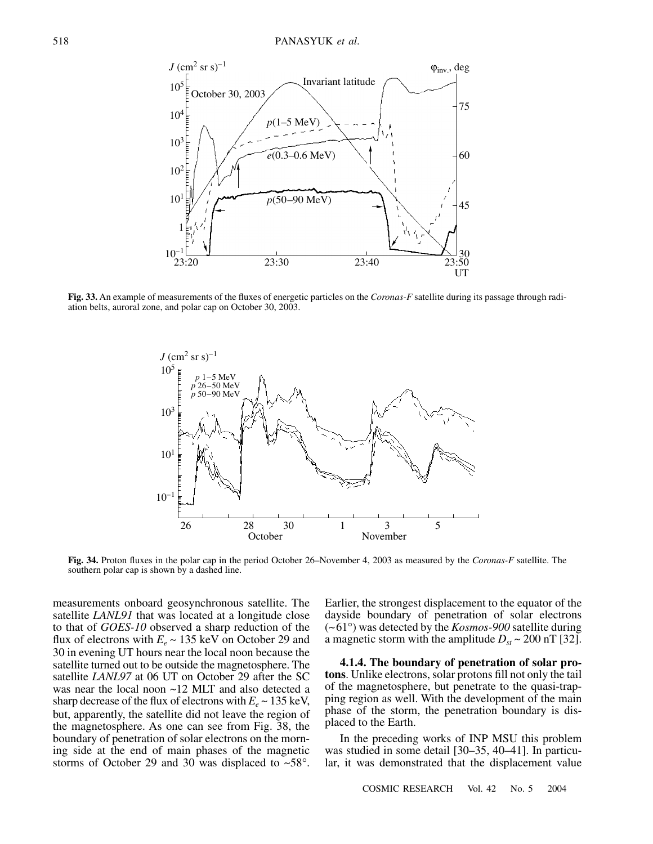![](_page_29_Figure_1.jpeg)

**Fig. 33.** An example of measurements of the fluxes of energetic particles on the *Coronas-F* satellite during its passage through radiation belts, auroral zone, and polar cap on October 30, 2003.

![](_page_29_Figure_3.jpeg)

**Fig. 34.** Proton fluxes in the polar cap in the period October 26–November 4, 2003 as measured by the *Coronas-F* satellite. The southern polar cap is shown by a dashed line.

measurements onboard geosynchronous satellite. The satellite *LANL91* that was located at a longitude close to that of *GOES-10* observed a sharp reduction of the flux of electrons with  $E_e \sim 135$  keV on October 29 and 30 in evening UT hours near the local noon because the satellite turned out to be outside the magnetosphere. The satellite *LANL97* at 06 UT on October 29 after the SC was near the local noon ~12 MLT and also detected a sharp decrease of the flux of electrons with  $E_e \sim 135$  keV, but, apparently, the satellite did not leave the region of the magnetosphere. As one can see from Fig. 38, the boundary of penetration of solar electrons on the morning side at the end of main phases of the magnetic storms of October 29 and 30 was displaced to  $\sim 58^{\circ}$ . Earlier, the strongest displacement to the equator of the dayside boundary of penetration of solar electrons (~61°) was detected by the *Kosmos-900* satellite during a magnetic storm with the amplitude  $D_{st} \sim 200$  nT [32].

**4.1.4. The boundary of penetration of solar protons**. Unlike electrons, solar protons fill not only the tail of the magnetosphere, but penetrate to the quasi-trapping region as well. With the development of the main phase of the storm, the penetration boundary is displaced to the Earth.

In the preceding works of INP MSU this problem was studied in some detail [30–35, 40–41]. In particular, it was demonstrated that the displacement value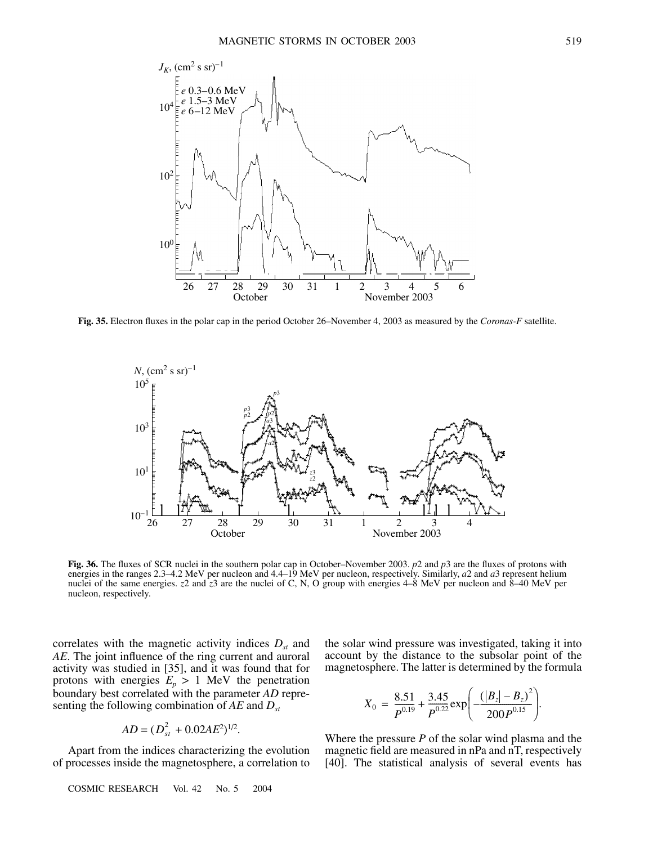![](_page_30_Figure_1.jpeg)

**Fig. 35.** Electron fluxes in the polar cap in the period October 26–November 4, 2003 as measured by the *Coronas-F* satellite.

![](_page_30_Figure_3.jpeg)

**Fig. 36.** The fluxes of SCR nuclei in the southern polar cap in October–November 2003. *p*2 and *p*3 are the fluxes of protons with energies in the ranges 2.3–4.2 MeV per nucleon and 4.4–19 MeV per nucleon, respectively. Similarly, *a*2 and *a*3 represent helium nuclei of the same energies. *z*2 and *z*3 are the nuclei of C, N, O group with energies 4–8 MeV per nucleon and 8–40 MeV per nucleon, respectively.

correlates with the magnetic activity indices  $D_{st}$  and *AE*. The joint influence of the ring current and auroral activity was studied in [35], and it was found that for protons with energies  $E_p > 1$  MeV the penetration boundary best correlated with the parameter *AD* representing the following combination of  $AE$  and  $D_{st}$ 

$$
AD = (D_{st}^2 + 0.02AE^2)^{1/2}.
$$

Apart from the indices characterizing the evolution of processes inside the magnetosphere, a correlation to the solar wind pressure was investigated, taking it into account by the distance to the subsolar point of the magnetosphere. The latter is determined by the formula

$$
X_0 = \frac{8.51}{P^{0.19}} + \frac{3.45}{P^{0.22}} \exp\left(-\frac{(|B_z| - B_z)^2}{200P^{0.15}}\right).
$$

Where the pressure *P* of the solar wind plasma and the magnetic field are measured in nPa and nT, respectively [40]. The statistical analysis of several events has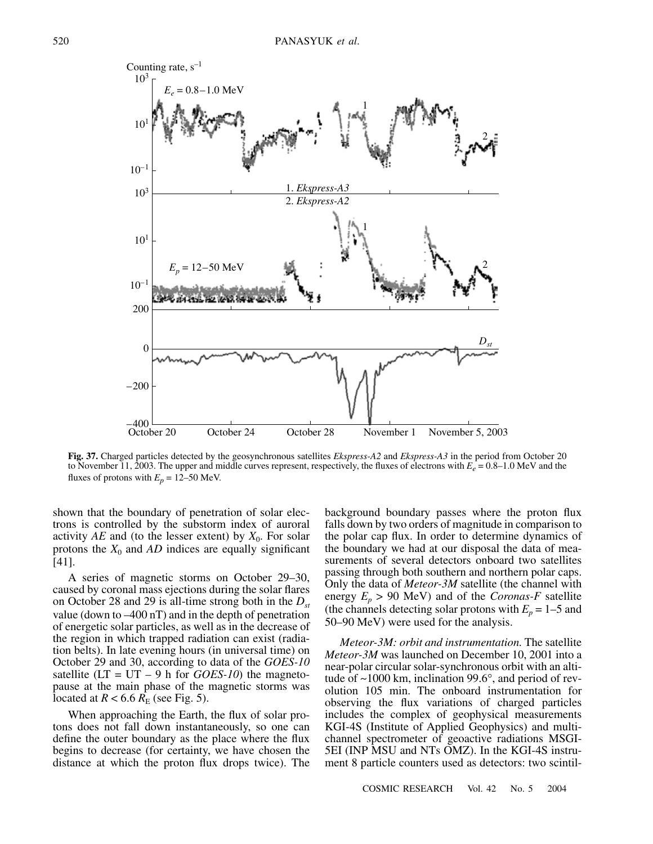![](_page_31_Figure_1.jpeg)

**Fig. 37.** Charged particles detected by the geosynchronous satellites *Ekspress-A2* and *Ekspress-A3* in the period from October 20 to November 11, 2003. The upper and middle curves represent, respectively, the fluxes of electrons with  $E_e = 0.8-1.0$  MeV and the fluxes of protons with  $E_p = 12-50$  MeV.

shown that the boundary of penetration of solar electrons is controlled by the substorm index of auroral activity  $AE$  and (to the lesser extent) by  $X_0$ . For solar protons the  $X_0$  and  $AD$  indices are equally significant [41].

A series of magnetic storms on October 29–30, caused by coronal mass ejections during the solar flares on October 28 and 29 is all-time strong both in the  $D_{st}$ value (down to –400 nT) and in the depth of penetration of energetic solar particles, as well as in the decrease of the region in which trapped radiation can exist (radiation belts). In late evening hours (in universal time) on October 29 and 30, according to data of the *GOES-10* satellite ( $LT = UT - 9$  h for  $GOES-10$ ) the magnetopause at the main phase of the magnetic storms was located at  $R < 6.6$   $R<sub>E</sub>$  (see Fig. 5).

When approaching the Earth, the flux of solar protons does not fall down instantaneously, so one can define the outer boundary as the place where the flux begins to decrease (for certainty, we have chosen the distance at which the proton flux drops twice). The background boundary passes where the proton flux falls down by two orders of magnitude in comparison to the polar cap flux. In order to determine dynamics of the boundary we had at our disposal the data of measurements of several detectors onboard two satellites passing through both southern and northern polar caps. Only the data of *Meteor-3M* satellite (the channel with energy  $E_p > 90$  MeV) and of the *Coronas-F* satellite (the channels detecting solar protons with  $E_p = 1-5$  and 50–90 MeV) were used for the analysis.

*Meteor-3M: orbit and instrumentation.* The satellite *Meteor-3M* was launched on December 10, 2001 into a near-polar circular solar-synchronous orbit with an altitude of ~1000 km, inclination 99.6°, and period of revolution 105 min. The onboard instrumentation for observing the flux variations of charged particles includes the complex of geophysical measurements KGI-4S (Institute of Applied Geophysics) and multichannel spectrometer of geoactive radiations MSGI-5EI (INP MSU and NTs OMZ). In the KGI-4S instrument 8 particle counters used as detectors: two scintil-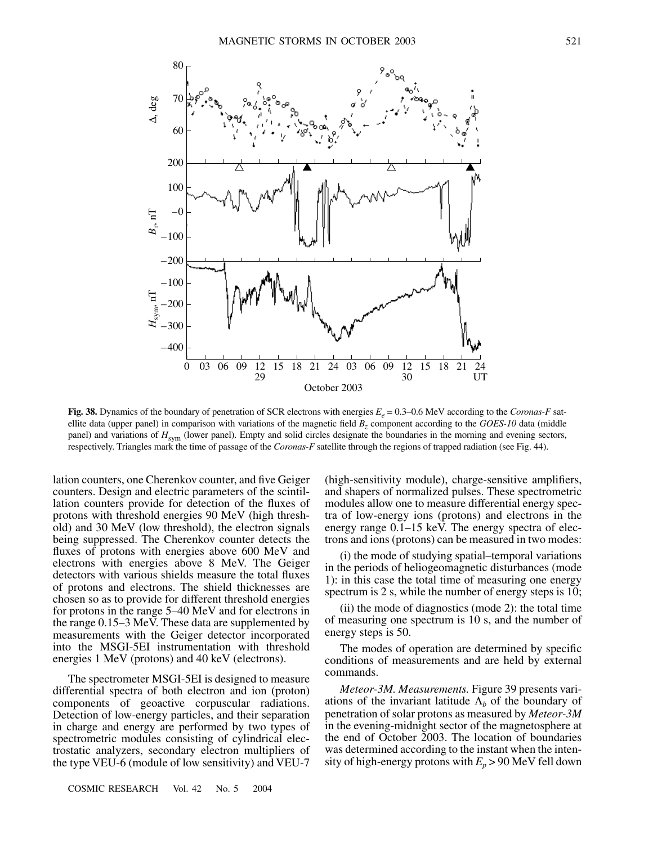![](_page_32_Figure_1.jpeg)

**Fig. 38.** Dynamics of the boundary of penetration of SCR electrons with energies  $E_e = 0.3-0.6$  MeV according to the *Coronas-F* satellite data (upper panel) in comparison with variations of the magnetic field *B<sub>z</sub>* component according to the *GOES-10* data (middle panel) and variations of  $H_{sym}$  (lower panel). Empty and solid circles designate the boundaries in the morning and evening sectors, respectively. Triangles mark the time of passage of the *Coronas-F* satellite through the regions of trapped radiation (see Fig. 44).

lation counters, one Cherenkov counter, and five Geiger counters. Design and electric parameters of the scintillation counters provide for detection of the fluxes of protons with threshold energies 90 MeV (high threshold) and 30 MeV (low threshold), the electron signals being suppressed. The Cherenkov counter detects the fluxes of protons with energies above 600 MeV and electrons with energies above 8 MeV. The Geiger detectors with various shields measure the total fluxes of protons and electrons. The shield thicknesses are chosen so as to provide for different threshold energies for protons in the range 5–40 MeV and for electrons in the range 0.15–3 MeV. These data are supplemented by measurements with the Geiger detector incorporated into the MSGI-5EI instrumentation with threshold energies 1 MeV (protons) and 40 keV (electrons).

The spectrometer MSGI-5EI is designed to measure differential spectra of both electron and ion (proton) components of geoactive corpuscular radiations. Detection of low-energy particles, and their separation in charge and energy are performed by two types of spectrometric modules consisting of cylindrical electrostatic analyzers, secondary electron multipliers of the type VEU-6 (module of low sensitivity) and VEU-7

COSMIC RESEARCH Vol. 42 No. 5 2004

(high-sensitivity module), charge-sensitive amplifiers, and shapers of normalized pulses. These spectrometric modules allow one to measure differential energy spectra of low-energy ions (protons) and electrons in the energy range 0.1–15 keV. The energy spectra of electrons and ions (protons) can be measured in two modes:

(i) the mode of studying spatial–temporal variations in the periods of heliogeomagnetic disturbances (mode 1): in this case the total time of measuring one energy spectrum is 2 s, while the number of energy steps is 10;

(ii) the mode of diagnostics (mode 2): the total time of measuring one spectrum is 10 s, and the number of energy steps is 50.

The modes of operation are determined by specific conditions of measurements and are held by external commands.

*Meteor-3M. Measurements.* Figure 39 presents variations of the invariant latitude  $\Lambda_b$  of the boundary of penetration of solar protons as measured by *Meteor-3M* in the evening-midnight sector of the magnetosphere at the end of October 2003. The location of boundaries was determined according to the instant when the intensity of high-energy protons with  $E_p > 90$  MeV fell down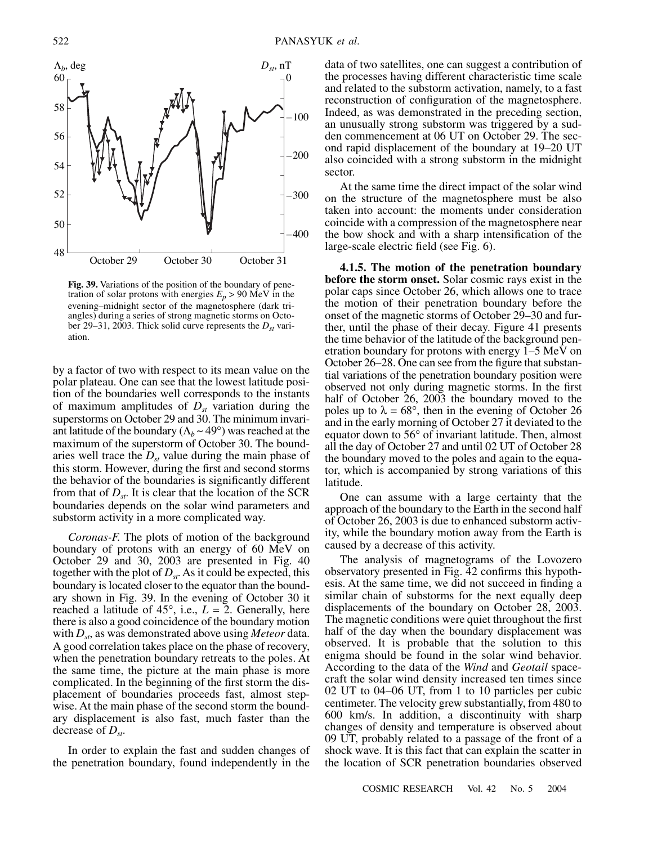**Fig. 39.** Variations of the position of the boundary of penetration of solar protons with energies  $E_p > 90$  MeV in the evening–midnight sector of the magnetosphere (dark triangles) during a series of strong magnetic storms on October 29–31, 2003. Thick solid curve represents the  $D_{st}$  variation.

by a factor of two with respect to its mean value on the polar plateau. One can see that the lowest latitude position of the boundaries well corresponds to the instants of maximum amplitudes of  $D_{st}$  variation during the superstorms on October 29 and 30. The minimum invariant latitude of the boundary ( $\Lambda_b \sim 49^\circ$ ) was reached at the maximum of the superstorm of October 30. The boundaries well trace the  $D_{st}$  value during the main phase of this storm. However, during the first and second storms the behavior of the boundaries is significantly different from that of  $D_{st}$ . It is clear that the location of the SCR boundaries depends on the solar wind parameters and substorm activity in a more complicated way.

*Coronas-F.* The plots of motion of the background boundary of protons with an energy of 60 MeV on October 29 and 30, 2003 are presented in Fig. 40 together with the plot of  $D_{st}$ . As it could be expected, this boundary is located closer to the equator than the boundary shown in Fig. 39. In the evening of October 30 it reached a latitude of  $45^\circ$ , i.e.,  $L = 2$ . Generally, here there is also a good coincidence of the boundary motion with  $D_{st}$ , as was demonstrated above using *Meteor* data. A good correlation takes place on the phase of recovery, when the penetration boundary retreats to the poles. At the same time, the picture at the main phase is more complicated. In the beginning of the first storm the displacement of boundaries proceeds fast, almost stepwise. At the main phase of the second storm the boundary displacement is also fast, much faster than the decrease of  $D_{st}$ .

In order to explain the fast and sudden changes of the penetration boundary, found independently in the data of two satellites, one can suggest a contribution of the processes having different characteristic time scale and related to the substorm activation, namely, to a fast reconstruction of configuration of the magnetosphere. Indeed, as was demonstrated in the preceding section, an unusually strong substorm was triggered by a sudden commencement at 06 UT on October 29. The second rapid displacement of the boundary at 19–20 UT also coincided with a strong substorm in the midnight sector.

At the same time the direct impact of the solar wind on the structure of the magnetosphere must be also taken into account: the moments under consideration coincide with a compression of the magnetosphere near the bow shock and with a sharp intensification of the large-scale electric field (see Fig. 6).

**4.1.5. The motion of the penetration boundary before the storm onset.** Solar cosmic rays exist in the polar caps since October 26, which allows one to trace the motion of their penetration boundary before the onset of the magnetic storms of October 29–30 and further, until the phase of their decay. Figure 41 presents the time behavior of the latitude of the background penetration boundary for protons with energy 1–5 MeV on October 26–28. One can see from the figure that substantial variations of the penetration boundary position were observed not only during magnetic storms. In the first half of October 26, 2003 the boundary moved to the poles up to  $\lambda = 68^{\circ}$ , then in the evening of October 26 and in the early morning of October 27 it deviated to the equator down to 56° of invariant latitude. Then, almost all the day of October 27 and until 02 UT of October 28 the boundary moved to the poles and again to the equator, which is accompanied by strong variations of this latitude.

One can assume with a large certainty that the approach of the boundary to the Earth in the second half of October 26, 2003 is due to enhanced substorm activity, while the boundary motion away from the Earth is caused by a decrease of this activity.

The analysis of magnetograms of the Lovozero observatory presented in Fig. 42 confirms this hypothesis. At the same time, we did not succeed in finding a similar chain of substorms for the next equally deep displacements of the boundary on October 28, 2003. The magnetic conditions were quiet throughout the first half of the day when the boundary displacement was observed. It is probable that the solution to this enigma should be found in the solar wind behavior. According to the data of the *Wind* and *Geotail* spacecraft the solar wind density increased ten times since 02 UT to 04–06 UT, from 1 to 10 particles per cubic centimeter. The velocity grew substantially, from 480 to 600 km/s. In addition, a discontinuity with sharp changes of density and temperature is observed about 09 UT, probably related to a passage of the front of a shock wave. It is this fact that can explain the scatter in the location of SCR penetration boundaries observed

![](_page_33_Figure_11.jpeg)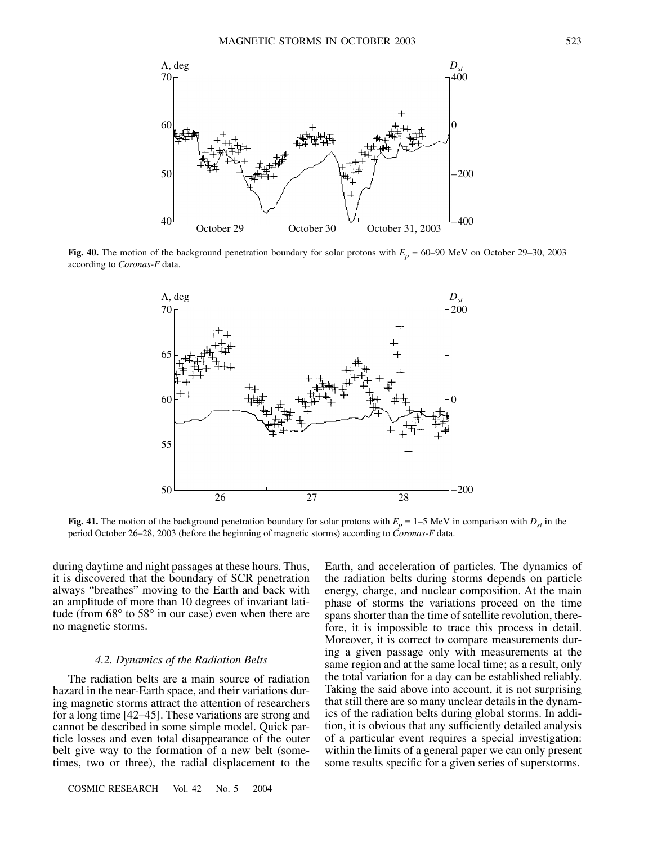![](_page_34_Figure_1.jpeg)

**Fig. 40.** The motion of the background penetration boundary for solar protons with  $E_p = 60-90$  MeV on October 29–30, 2003 according to *Coronas-F* data.

![](_page_34_Figure_3.jpeg)

**Fig. 41.** The motion of the background penetration boundary for solar protons with  $E_p = 1-5$  MeV in comparison with  $D_{st}$  in the period October 26–28, 2003 (before the beginning of magnetic storms) according to *Coronas-F* data.

during daytime and night passages at these hours. Thus, it is discovered that the boundary of SCR penetration always "breathes" moving to the Earth and back with an amplitude of more than 10 degrees of invariant latitude (from 68° to 58° in our case) even when there are no magnetic storms.

## *4.2. Dynamics of the Radiation Belts*

The radiation belts are a main source of radiation hazard in the near-Earth space, and their variations during magnetic storms attract the attention of researchers for a long time [42–45]. These variations are strong and cannot be described in some simple model. Quick particle losses and even total disappearance of the outer belt give way to the formation of a new belt (sometimes, two or three), the radial displacement to the

COSMIC RESEARCH Vol. 42 No. 5 2004

Earth, and acceleration of particles. The dynamics of the radiation belts during storms depends on particle energy, charge, and nuclear composition. At the main phase of storms the variations proceed on the time spans shorter than the time of satellite revolution, therefore, it is impossible to trace this process in detail. Moreover, it is correct to compare measurements during a given passage only with measurements at the same region and at the same local time; as a result, only the total variation for a day can be established reliably. Taking the said above into account, it is not surprising that still there are so many unclear details in the dynamics of the radiation belts during global storms. In addition, it is obvious that any sufficiently detailed analysis of a particular event requires a special investigation: within the limits of a general paper we can only present some results specific for a given series of superstorms.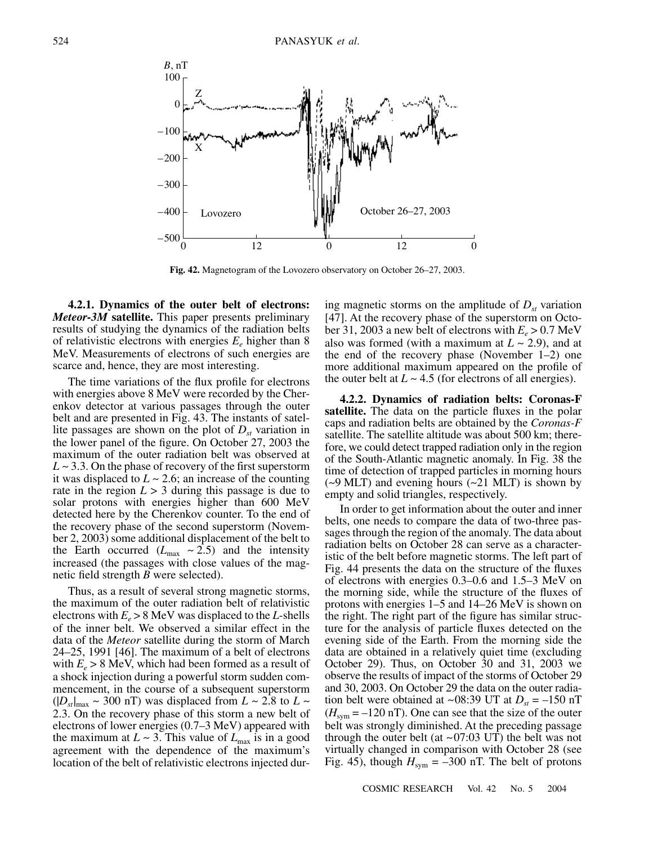![](_page_35_Figure_2.jpeg)

**Fig. 42.** Magnetogram of the Lovozero observatory on October 26–27, 2003.

**4.2.1. Dynamics of the outer belt of electrons:** *Meteor-3M* **satellite.** This paper presents preliminary results of studying the dynamics of the radiation belts of relativistic electrons with energies  $E_e$  higher than 8 MeV. Measurements of electrons of such energies are scarce and, hence, they are most interesting.

The time variations of the flux profile for electrons with energies above 8 MeV were recorded by the Cherenkov detector at various passages through the outer belt and are presented in Fig. 43. The instants of satellite passages are shown on the plot of  $D_{st}$  variation in the lower panel of the figure. On October 27, 2003 the maximum of the outer radiation belt was observed at  $L \sim 3.3$ . On the phase of recovery of the first superstorm it was displaced to  $L \sim 2.6$ ; an increase of the counting rate in the region  $L > 3$  during this passage is due to solar protons with energies higher than 600 MeV detected here by the Cherenkov counter. To the end of the recovery phase of the second superstorm (November 2, 2003) some additional displacement of the belt to the Earth occurred  $(L_{\text{max}} \sim 2.5)$  and the intensity increased (the passages with close values of the magnetic field strength *B* were selected).

Thus, as a result of several strong magnetic storms, the maximum of the outer radiation belt of relativistic electrons with  $E_e > 8$  MeV was displaced to the *L*-shells of the inner belt. We observed a similar effect in the data of the *Meteor* satellite during the storm of March 24–25, 1991 [46]. The maximum of a belt of electrons with  $E_e > 8$  MeV, which had been formed as a result of a shock injection during a powerful storm sudden commencement, in the course of a subsequent superstorm  $(|D_{st}|_{\text{max}} \sim 300 \text{ nT})$  was displaced from  $L \sim 2.8$  to  $L \sim$ 2.3. On the recovery phase of this storm a new belt of electrons of lower energies (0.7–3 MeV) appeared with the maximum at  $L \sim 3$ . This value of  $L_{\text{max}}$  is in a good agreement with the dependence of the maximum's location of the belt of relativistic electrons injected during magnetic storms on the amplitude of  $D_{st}$  variation [47]. At the recovery phase of the superstorm on October 31, 2003 a new belt of electrons with  $E_e > 0.7$  MeV also was formed (with a maximum at  $L \sim 2.9$ ), and at the end of the recovery phase (November 1–2) one more additional maximum appeared on the profile of the outer belt at  $L \sim 4.5$  (for electrons of all energies).

**4.2.2. Dynamics of radiation belts: Coronas-F satellite.** The data on the particle fluxes in the polar caps and radiation belts are obtained by the *Coronas-F* satellite. The satellite altitude was about 500 km; therefore, we could detect trapped radiation only in the region of the South-Atlantic magnetic anomaly. In Fig. 38 the time of detection of trapped particles in morning hours  $(\sim 9 \text{ MLT})$  and evening hours  $(\sim 21 \text{ MLT})$  is shown by empty and solid triangles, respectively.

In order to get information about the outer and inner belts, one needs to compare the data of two-three passages through the region of the anomaly. The data about radiation belts on October 28 can serve as a characteristic of the belt before magnetic storms. The left part of Fig. 44 presents the data on the structure of the fluxes of electrons with energies 0.3–0.6 and 1.5–3 MeV on the morning side, while the structure of the fluxes of protons with energies 1–5 and 14–26 MeV is shown on the right. The right part of the figure has similar structure for the analysis of particle fluxes detected on the evening side of the Earth. From the morning side the data are obtained in a relatively quiet time (excluding October 29). Thus, on October 30 and 31, 2003 we observe the results of impact of the storms of October 29 and 30, 2003. On October 29 the data on the outer radiation belt were obtained at ~08:39 UT at  $D_{st} = -150$  nT  $(H<sub>sym</sub> = -120 \text{ nT})$ . One can see that the size of the outer belt was strongly diminished. At the preceding passage through the outer belt (at  $\sim 07:03$  UT) the belt was not virtually changed in comparison with October 28 (see Fig. 45), though  $H_{sym} = -300$  nT. The belt of protons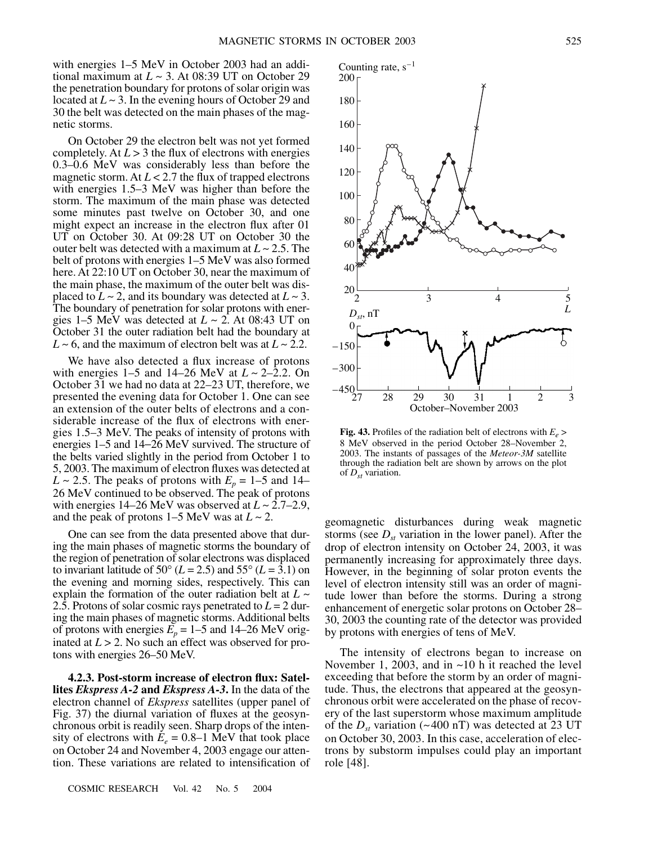with energies 1–5 MeV in October 2003 had an additional maximum at  $L \sim 3$ . At 08:39 UT on October 29 the penetration boundary for protons of solar origin was located at  $L \sim 3$ . In the evening hours of October 29 and 30 the belt was detected on the main phases of the magnetic storms.

On October 29 the electron belt was not yet formed completely. At  $L > 3$  the flux of electrons with energies 0.3–0.6 MeV was considerably less than before the magnetic storm. At  $L < 2.7$  the flux of trapped electrons with energies 1.5–3 MeV was higher than before the storm. The maximum of the main phase was detected some minutes past twelve on October 30, and one might expect an increase in the electron flux after 01 UT on October 30. At 09:28 UT on October 30 the outer belt was detected with a maximum at *L* ~ 2.5. The belt of protons with energies 1–5 MeV was also formed here. At 22:10 UT on October 30, near the maximum of the main phase, the maximum of the outer belt was displaced to  $L \sim 2$ , and its boundary was detected at  $L \sim 3$ . The boundary of penetration for solar protons with energies 1–5 MeV was detected at  $L \sim 2$ . At 08:43 UT on October 31 the outer radiation belt had the boundary at  $L \sim 6$ , and the maximum of electron belt was at  $L \sim 2.2$ .

We have also detected a flux increase of protons with energies  $1-5$  and  $14-26$  MeV at  $L \sim 2-2.2$ . On October 31 we had no data at 22–23 UT, therefore, we presented the evening data for October 1. One can see an extension of the outer belts of electrons and a considerable increase of the flux of electrons with energies 1.5–3 MeV. The peaks of intensity of protons with energies 1–5 and 14−26 MeV survived. The structure of the belts varied slightly in the period from October 1 to 5, 2003. The maximum of electron fluxes was detected at  $L \sim 2.5$ . The peaks of protons with  $E_p = 1-5$  and 14– 26 MeV continued to be observed. The peak of protons with energies  $14-26$  MeV was observed at  $L \sim 2.7-2.9$ , and the peak of protons  $1-5$  MeV was at  $L \sim 2$ .

One can see from the data presented above that during the main phases of magnetic storms the boundary of the region of penetration of solar electrons was displaced to invariant latitude of  $50^{\circ}$  ( $L = 2.5$ ) and  $55^{\circ}$  ( $L = 3.1$ ) on the evening and morning sides, respectively. This can explain the formation of the outer radiation belt at  $L \sim$ 2.5. Protons of solar cosmic rays penetrated to *L* = 2 during the main phases of magnetic storms. Additional belts of protons with energies  $E_p = 1-5$  and 14–26 MeV originated at  $L > 2$ . No such an effect was observed for protons with energies 26–50 MeV.

**4.2.3. Post-storm increase of electron flux: Satellites** *Ekspress A-2* **and** *Ekspress A-3***.** In the data of the electron channel of *Ekspress* satellites (upper panel of Fig. 37) the diurnal variation of fluxes at the geosynchronous orbit is readily seen. Sharp drops of the intensity of electrons with  $E_e = 0.8$ –1 MeV that took place on October 24 and November 4, 2003 engage our attention. These variations are related to intensification of

![](_page_36_Figure_7.jpeg)

**Fig. 43.** Profiles of the radiation belt of electrons with  $E_e$ 8 MeV observed in the period October 28–November 2, 2003. The instants of passages of the *Meteor-3M* satellite through the radiation belt are shown by arrows on the plot of *Dst* variation.

geomagnetic disturbances during weak magnetic storms (see  $D_{st}$  variation in the lower panel). After the drop of electron intensity on October 24, 2003, it was permanently increasing for approximately three days. However, in the beginning of solar proton events the level of electron intensity still was an order of magnitude lower than before the storms. During a strong enhancement of energetic solar protons on October 28– 30, 2003 the counting rate of the detector was provided by protons with energies of tens of MeV.

The intensity of electrons began to increase on November 1, 2003, and in  $~10$  h it reached the level exceeding that before the storm by an order of magnitude. Thus, the electrons that appeared at the geosynchronous orbit were accelerated on the phase of recovery of the last superstorm whose maximum amplitude of the  $D_{st}$  variation (~400 nT) was detected at 23 UT on October 30, 2003. In this case, acceleration of electrons by substorm impulses could play an important role [48].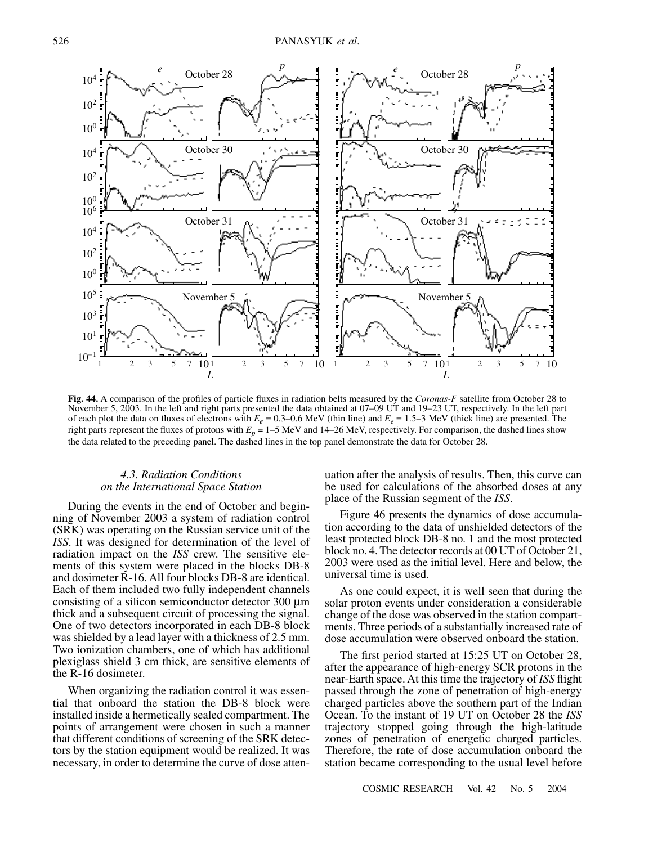![](_page_37_Figure_1.jpeg)

**Fig. 44.** A comparison of the profiles of particle fluxes in radiation belts measured by the *Coronas-F* satellite from October 28 to November 5, 2003. In the left and right parts presented the data obtained at 07–09 UT and 19–23 UT, respectively. In the left part of each plot the data on fluxes of electrons with  $E_e = 0.3-0.6$  MeV (thin line) and  $E_e = 1.5-3$  MeV (thick line) are presented. The right parts represent the fluxes of protons with  $E_p = 1-5$  MeV and 14–26 MeV, respectively. For comparison, the dashed lines show the data related to the preceding panel. The dashed lines in the top panel demonstrate the data for October 28.

## *4.3. Radiation Conditions on the International Space Station*

During the events in the end of October and beginning of November 2003 a system of radiation control (SRK) was operating on the Russian service unit of the *ISS*. It was designed for determination of the level of radiation impact on the *ISS* crew. The sensitive elements of this system were placed in the blocks DB-8 and dosimeter R-16. All four blocks DB-8 are identical. Each of them included two fully independent channels consisting of a silicon semiconductor detector 300 µm thick and a subsequent circuit of processing the signal. One of two detectors incorporated in each DB-8 block was shielded by a lead layer with a thickness of 2.5 mm. Two ionization chambers, one of which has additional plexiglass shield 3 cm thick, are sensitive elements of the R-16 dosimeter.

When organizing the radiation control it was essential that onboard the station the DB-8 block were installed inside a hermetically sealed compartment. The points of arrangement were chosen in such a manner that different conditions of screening of the SRK detectors by the station equipment would be realized. It was necessary, in order to determine the curve of dose atten-

uation after the analysis of results. Then, this curve can be used for calculations of the absorbed doses at any place of the Russian segment of the *ISS*.

Figure 46 presents the dynamics of dose accumulation according to the data of unshielded detectors of the least protected block DB-8 no. 1 and the most protected block no. 4. The detector records at 00 UT of October 21, 2003 were used as the initial level. Here and below, the universal time is used.

As one could expect, it is well seen that during the solar proton events under consideration a considerable change of the dose was observed in the station compartments. Three periods of a substantially increased rate of dose accumulation were observed onboard the station.

The first period started at 15:25 UT on October 28, after the appearance of high-energy SCR protons in the near-Earth space. At this time the trajectory of *ISS* flight passed through the zone of penetration of high-energy charged particles above the southern part of the Indian Ocean. To the instant of 19 UT on October 28 the *ISS* trajectory stopped going through the high-latitude zones of penetration of energetic charged particles. Therefore, the rate of dose accumulation onboard the station became corresponding to the usual level before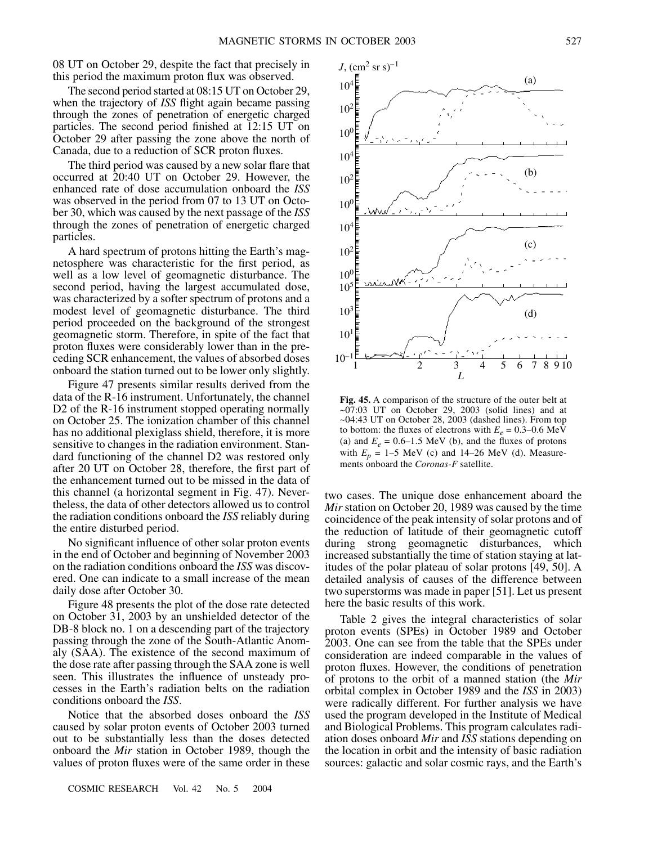08 UT on October 29, despite the fact that precisely in this period the maximum proton flux was observed.

The second period started at 08:15 UT on October 29, when the trajectory of *ISS* flight again became passing through the zones of penetration of energetic charged particles. The second period finished at 12:15 UT on October 29 after passing the zone above the north of Canada, due to a reduction of SCR proton fluxes.

The third period was caused by a new solar flare that occurred at 20:40 UT on October 29. However, the enhanced rate of dose accumulation onboard the *ISS* was observed in the period from 07 to 13 UT on October 30, which was caused by the next passage of the *ISS* through the zones of penetration of energetic charged particles.

A hard spectrum of protons hitting the Earth's magnetosphere was characteristic for the first period, as well as a low level of geomagnetic disturbance. The second period, having the largest accumulated dose, was characterized by a softer spectrum of protons and a modest level of geomagnetic disturbance. The third period proceeded on the background of the strongest geomagnetic storm. Therefore, in spite of the fact that proton fluxes were considerably lower than in the preceding SCR enhancement, the values of absorbed doses onboard the station turned out to be lower only slightly.

Figure 47 presents similar results derived from the data of the R-16 instrument. Unfortunately, the channel D<sub>2</sub> of the R-16 instrument stopped operating normally on October 25. The ionization chamber of this channel has no additional plexiglass shield, therefore, it is more sensitive to changes in the radiation environment. Standard functioning of the channel D2 was restored only after 20 UT on October 28, therefore, the first part of the enhancement turned out to be missed in the data of this channel (a horizontal segment in Fig. 47). Nevertheless, the data of other detectors allowed us to control the radiation conditions onboard the *ISS* reliably during the entire disturbed period.

No significant influence of other solar proton events in the end of October and beginning of November 2003 on the radiation conditions onboard the *ISS* was discovered. One can indicate to a small increase of the mean daily dose after October 30.

Figure 48 presents the plot of the dose rate detected on October 31, 2003 by an unshielded detector of the DB-8 block no. 1 on a descending part of the trajectory passing through the zone of the South-Atlantic Anomaly (SAA). The existence of the second maximum of the dose rate after passing through the SAA zone is well seen. This illustrates the influence of unsteady processes in the Earth's radiation belts on the radiation conditions onboard the *ISS*.

Notice that the absorbed doses onboard the *ISS* caused by solar proton events of October 2003 turned out to be substantially less than the doses detected onboard the *Mir* station in October 1989, though the values of proton fluxes were of the same order in these

![](_page_38_Figure_10.jpeg)

**Fig. 45.** A comparison of the structure of the outer belt at  $\sim$ 07:03 UT on October 29, 2003 (solid lines) and at ~04:43 UT on October 28, 2003 (dashed lines). From top to bottom: the fluxes of electrons with  $E_e = 0.3{\text -}0.6$  MeV (a) and  $E_e = 0.6$ –1.5 MeV (b), and the fluxes of protons with  $E_p = 1-5$  MeV (c) and 14–26 MeV (d). Measurements onboard the *Coronas-F* satellite.

two cases. The unique dose enhancement aboard the *Mir* station on October 20, 1989 was caused by the time coincidence of the peak intensity of solar protons and of the reduction of latitude of their geomagnetic cutoff during strong geomagnetic disturbances, which increased substantially the time of station staying at latitudes of the polar plateau of solar protons [49, 50]. A detailed analysis of causes of the difference between two superstorms was made in paper [51]. Let us present here the basic results of this work.

Table 2 gives the integral characteristics of solar proton events (SPEs) in October 1989 and October 2003. One can see from the table that the SPEs under consideration are indeed comparable in the values of proton fluxes. However, the conditions of penetration of protons to the orbit of a manned station (the *Mir* orbital complex in October 1989 and the *ISS* in 2003) were radically different. For further analysis we have used the program developed in the Institute of Medical and Biological Problems. This program calculates radiation doses onboard *Mir* and *ISS* stations depending on the location in orbit and the intensity of basic radiation sources: galactic and solar cosmic rays, and the Earth's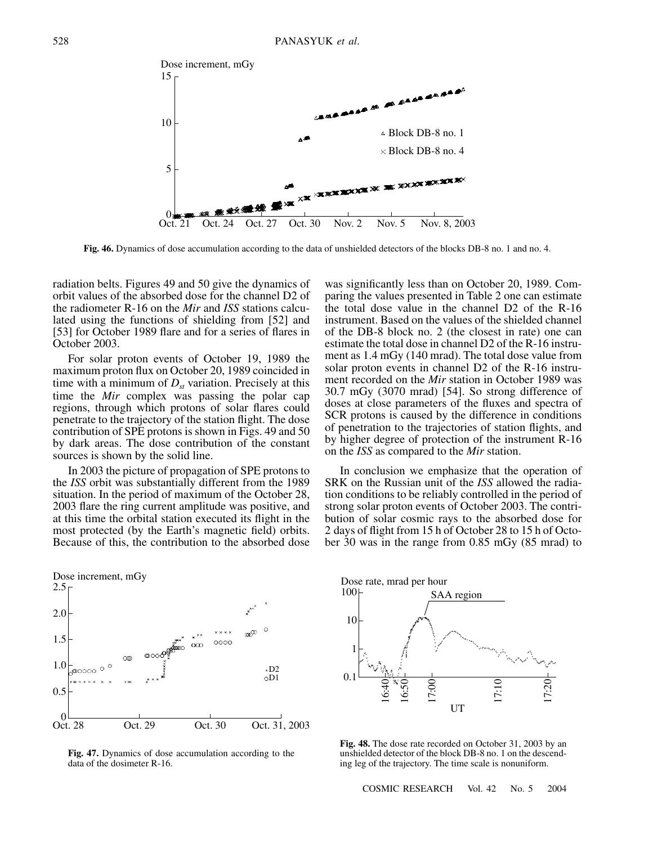![](_page_39_Figure_1.jpeg)

**Fig. 46.** Dynamics of dose accumulation according to the data of unshielded detectors of the blocks DB-8 no. 1 and no. 4.

radiation belts. Figures 49 and 50 give the dynamics of orbit values of the absorbed dose for the channel D2 of the radiometer R-16 on the *Mir* and *ISS* stations calculated using the functions of shielding from [52] and [53] for October 1989 flare and for a series of flares in October 2003.

For solar proton events of October 19, 1989 the maximum proton flux on October 20, 1989 coincided in time with a minimum of  $D_{st}$  variation. Precisely at this time the *Mir* complex was passing the polar cap regions, through which protons of solar flares could penetrate to the trajectory of the station flight. The dose contribution of SPE protons is shown in Figs. 49 and 50 by dark areas. The dose contribution of the constant sources is shown by the solid line.

In 2003 the picture of propagation of SPE protons to the *ISS* orbit was substantially different from the 1989 situation. In the period of maximum of the October 28, 2003 flare the ring current amplitude was positive, and at this time the orbital station executed its flight in the most protected (by the Earth's magnetic field) orbits. Because of this, the contribution to the absorbed dose

![](_page_39_Figure_6.jpeg)

**Fig. 47.** Dynamics of dose accumulation according to the data of the dosimeter R-16.

was significantly less than on October 20, 1989. Comparing the values presented in Table 2 one can estimate the total dose value in the channel D2 of the R-16 instrument. Based on the values of the shielded channel of the DB-8 block no. 2 (the closest in rate) one can estimate the total dose in channel D2 of the R-16 instrument as 1.4 mGy (140 mrad). The total dose value from solar proton events in channel D2 of the R-16 instrument recorded on the *Mir* station in October 1989 was 30.7 mGy (3070 mrad) [54]. So strong difference of doses at close parameters of the fluxes and spectra of SCR protons is caused by the difference in conditions of penetration to the trajectories of station flights, and by higher degree of protection of the instrument R-16 on the *ISS* as compared to the *Mir* station.

In conclusion we emphasize that the operation of SRK on the Russian unit of the *ISS* allowed the radiation conditions to be reliably controlled in the period of strong solar proton events of October 2003. The contribution of solar cosmic rays to the absorbed dose for 2 days of flight from 15 h of October 28 to 15 h of October 30 was in the range from 0.85 mGy (85 mrad) to

![](_page_39_Figure_10.jpeg)

**Fig. 48.** The dose rate recorded on October 31, 2003 by an unshielded detector of the block DB-8 no. 1 on the descending leg of the trajectory. The time scale is nonuniform.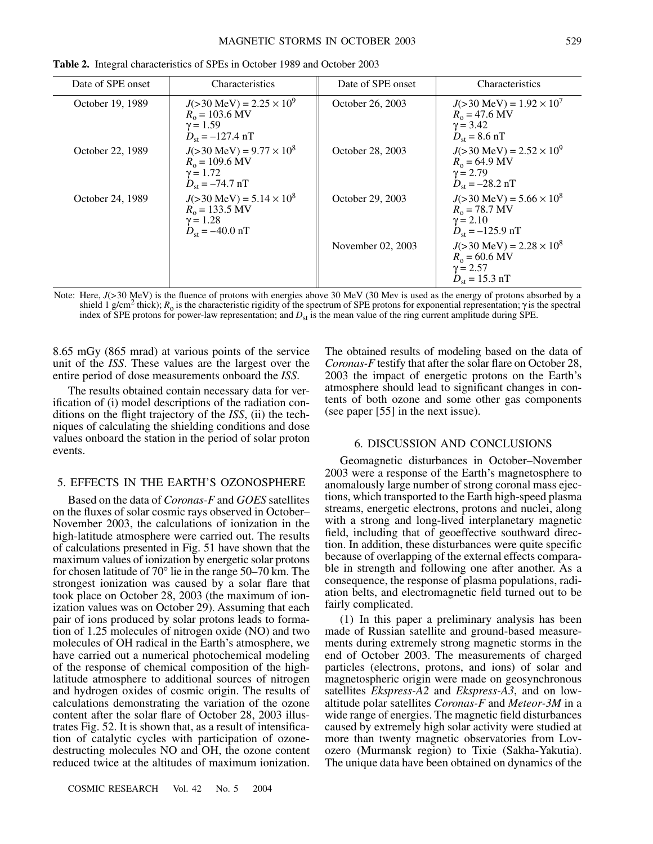| Date of SPE onset | <b>Characteristics</b>                                                                                            | Date of SPE onset | <b>Characteristics</b>                                                                                      |
|-------------------|-------------------------------------------------------------------------------------------------------------------|-------------------|-------------------------------------------------------------------------------------------------------------|
| October 19, 1989  | $J(>30 \text{ MeV}) = 2.25 \times 10^9$<br>$R_0 = 103.6$ MV<br>$y = 1.59$<br>$D_{st} = -127.4$ nT                 | October 26, 2003  | $J(>30 \text{ MeV}) = 1.92 \times 10^7$<br>$R_0 = 47.6$ MV<br>$\gamma = 3.42$<br>$D_{\rm st}$ = 8.6 nT      |
| October 22, 1989  | $J(>30 \text{ MeV}) = 9.77 \times 10^8$<br>$R_0 = 109.6$ MV<br>$\gamma = 1.72$<br>$D_{st} = -74.7$ nT             | October 28, 2003  | $J(>30 \text{ MeV}) = 2.52 \times 10^9$<br>$R_0 = 64.9$ MV<br>$\gamma = 2.79$<br>$D_{st} = -28.2$ nT        |
| October 24, 1989  | $J(>30 \text{ MeV}) = 5.14 \times 10^8$<br>$R_0 = 133.5$ MV<br>$\gamma = 1.28$<br>$D_{\rm st} = -40.0 \text{ nT}$ | October 29, 2003  | $J(>30 \text{ MeV}) = 5.66 \times 10^8$<br>$R_0 = 78.7$ MV<br>$\gamma = 2.10$<br>$D_{st} = -125.9$ nT       |
|                   |                                                                                                                   | November 02, 2003 | $J(>30 \text{ MeV}) = 2.28 \times 10^8$<br>$R_0 = 60.6$ MV<br>$\gamma = 2.57$<br>$D_{st} = 15.3 \text{ nT}$ |

**Table 2.** Integral characteristics of SPEs in October 1989 and October 2003

Note: Here,  $J(>30 \text{ MeV})$  is the fluence of protons with energies above 30 MeV (30 Mev is used as the energy of protons absorbed by a shield 1 g/cm<sup>2</sup> thick);  $R_0$  is the characteristic rigidity of the spectrum of SPE protons for exponential representation;  $\gamma$  is the spectral index of SPE protons for power-law representation; and  $D_{st}$  is the mean value of the ring current amplitude during SPE.

8.65 mGy (865 mrad) at various points of the service unit of the *ISS*. These values are the largest over the entire period of dose measurements onboard the *ISS*.

The results obtained contain necessary data for verification of (i) model descriptions of the radiation conditions on the flight trajectory of the *ISS*, (ii) the techniques of calculating the shielding conditions and dose values onboard the station in the period of solar proton events.

# 5. EFFECTS IN THE EARTH'S OZONOSPHERE

Based on the data of *Coronas-F* and *GOES* satellites on the fluxes of solar cosmic rays observed in October– November 2003, the calculations of ionization in the high-latitude atmosphere were carried out. The results of calculations presented in Fig. 51 have shown that the maximum values of ionization by energetic solar protons for chosen latitude of 70° lie in the range 50–70 km. The strongest ionization was caused by a solar flare that took place on October 28, 2003 (the maximum of ionization values was on October 29). Assuming that each pair of ions produced by solar protons leads to formation of 1.25 molecules of nitrogen oxide (NO) and two molecules of OH radical in the Earth's atmosphere, we have carried out a numerical photochemical modeling of the response of chemical composition of the highlatitude atmosphere to additional sources of nitrogen and hydrogen oxides of cosmic origin. The results of calculations demonstrating the variation of the ozone content after the solar flare of October 28, 2003 illustrates Fig. 52. It is shown that, as a result of intensification of catalytic cycles with participation of ozonedestructing molecules NO and OH, the ozone content reduced twice at the altitudes of maximum ionization.

The obtained results of modeling based on the data of *Coronas-F* testify that after the solar flare on October 28, 2003 the impact of energetic protons on the Earth's atmosphere should lead to significant changes in contents of both ozone and some other gas components (see paper [55] in the next issue).

#### 6. DISCUSSION AND CONCLUSIONS

Geomagnetic disturbances in October–November 2003 were a response of the Earth's magnetosphere to anomalously large number of strong coronal mass ejections, which transported to the Earth high-speed plasma streams, energetic electrons, protons and nuclei, along with a strong and long-lived interplanetary magnetic field, including that of geoeffective southward direction. In addition, these disturbances were quite specific because of overlapping of the external effects comparable in strength and following one after another. As a consequence, the response of plasma populations, radiation belts, and electromagnetic field turned out to be fairly complicated.

(1) In this paper a preliminary analysis has been made of Russian satellite and ground-based measurements during extremely strong magnetic storms in the end of October 2003. The measurements of charged particles (electrons, protons, and ions) of solar and magnetospheric origin were made on geosynchronous satellites *Ekspress-A2* and *Ekspress-A3*, and on lowaltitude polar satellites *Coronas-F* and *Meteor-3M* in a wide range of energies. The magnetic field disturbances caused by extremely high solar activity were studied at more than twenty magnetic observatories from Lovozero (Murmansk region) to Tixie (Sakha-Yakutia). The unique data have been obtained on dynamics of the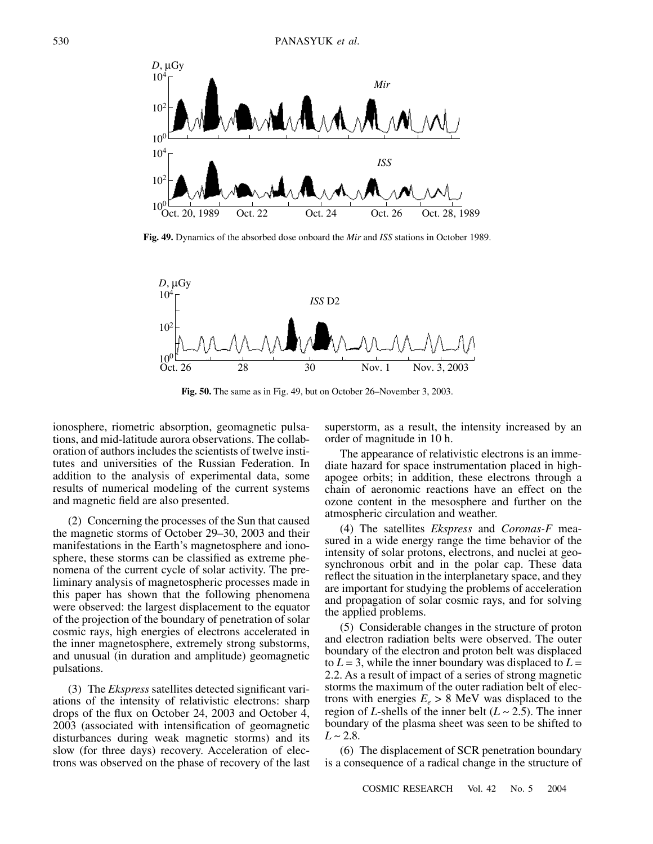![](_page_41_Figure_1.jpeg)

**Fig. 49.** Dynamics of the absorbed dose onboard the *Mir* and *ISS* stations in October 1989.

![](_page_41_Figure_3.jpeg)

**Fig. 50.** The same as in Fig. 49, but on October 26–November 3, 2003.

ionosphere, riometric absorption, geomagnetic pulsations, and mid-latitude aurora observations. The collaboration of authors includes the scientists of twelve institutes and universities of the Russian Federation. In addition to the analysis of experimental data, some results of numerical modeling of the current systems and magnetic field are also presented.

(2) Concerning the processes of the Sun that caused the magnetic storms of October 29–30, 2003 and their manifestations in the Earth's magnetosphere and ionosphere, these storms can be classified as extreme phenomena of the current cycle of solar activity. The preliminary analysis of magnetospheric processes made in this paper has shown that the following phenomena were observed: the largest displacement to the equator of the projection of the boundary of penetration of solar cosmic rays, high energies of electrons accelerated in the inner magnetosphere, extremely strong substorms, and unusual (in duration and amplitude) geomagnetic pulsations.

(3) The *Ekspress* satellites detected significant variations of the intensity of relativistic electrons: sharp drops of the flux on October 24, 2003 and October 4, 2003 (associated with intensification of geomagnetic disturbances during weak magnetic storms) and its slow (for three days) recovery. Acceleration of electrons was observed on the phase of recovery of the last superstorm, as a result, the intensity increased by an order of magnitude in 10 h.

The appearance of relativistic electrons is an immediate hazard for space instrumentation placed in highapogee orbits; in addition, these electrons through a chain of aeronomic reactions have an effect on the ozone content in the mesosphere and further on the atmospheric circulation and weather.

(4) The satellites *Ekspress* and *Coronas-F* measured in a wide energy range the time behavior of the intensity of solar protons, electrons, and nuclei at geosynchronous orbit and in the polar cap. These data reflect the situation in the interplanetary space, and they are important for studying the problems of acceleration and propagation of solar cosmic rays, and for solving the applied problems.

(5) Considerable changes in the structure of proton and electron radiation belts were observed. The outer boundary of the electron and proton belt was displaced to  $L = 3$ , while the inner boundary was displaced to  $L =$ 2.2. As a result of impact of a series of strong magnetic storms the maximum of the outer radiation belt of electrons with energies  $E_e > 8$  MeV was displaced to the region of *L*-shells of the inner belt  $(L \sim 2.5)$ . The inner boundary of the plasma sheet was seen to be shifted to  $L \sim 2.8$ .

(6) The displacement of SCR penetration boundary is a consequence of a radical change in the structure of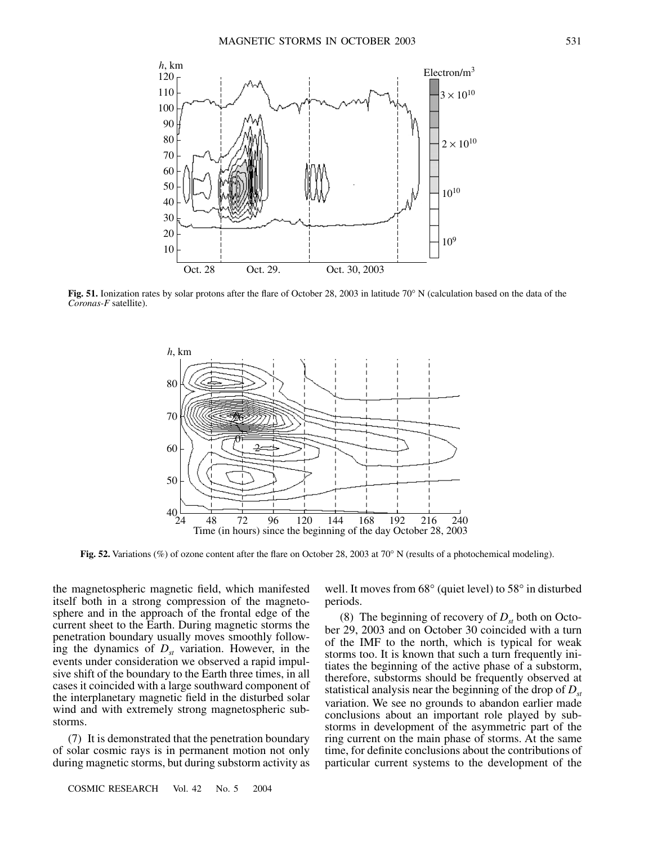![](_page_42_Figure_1.jpeg)

**Fig. 51.** Ionization rates by solar protons after the flare of October 28, 2003 in latitude 70° N (calculation based on the data of the *Coronas-F* satellite).

![](_page_42_Figure_3.jpeg)

**Fig. 52.** Variations (%) of ozone content after the flare on October 28, 2003 at 70° N (results of a photochemical modeling).

the magnetospheric magnetic field, which manifested itself both in a strong compression of the magnetosphere and in the approach of the frontal edge of the current sheet to the Earth. During magnetic storms the penetration boundary usually moves smoothly following the dynamics of  $D_{st}$  variation. However, in the events under consideration we observed a rapid impulsive shift of the boundary to the Earth three times, in all cases it coincided with a large southward component of the interplanetary magnetic field in the disturbed solar wind and with extremely strong magnetospheric substorms.

(7) It is demonstrated that the penetration boundary of solar cosmic rays is in permanent motion not only during magnetic storms, but during substorm activity as

COSMIC RESEARCH Vol. 42 No. 5 2004

well. It moves from 68° (quiet level) to 58° in disturbed periods.

(8) The beginning of recovery of  $D_{st}$  both on October 29, 2003 and on October 30 coincided with a turn of the IMF to the north, which is typical for weak storms too. It is known that such a turn frequently initiates the beginning of the active phase of a substorm, therefore, substorms should be frequently observed at statistical analysis near the beginning of the drop of  $D_{st}$ variation. We see no grounds to abandon earlier made conclusions about an important role played by substorms in development of the asymmetric part of the ring current on the main phase of storms. At the same time, for definite conclusions about the contributions of particular current systems to the development of the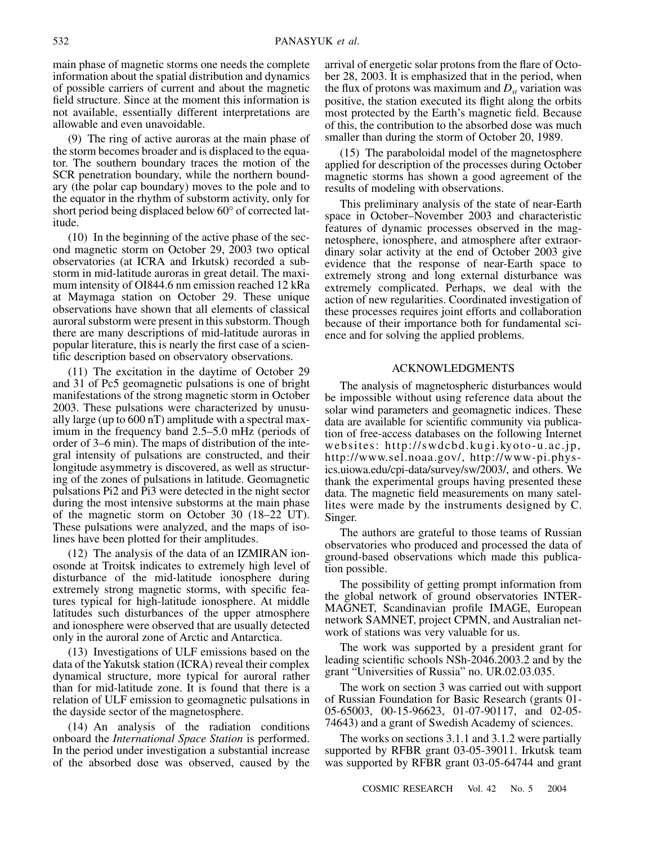main phase of magnetic storms one needs the complete information about the spatial distribution and dynamics of possible carriers of current and about the magnetic field structure. Since at the moment this information is not available, essentially different interpretations are allowable and even unavoidable.

(9) The ring of active auroras at the main phase of the storm becomes broader and is displaced to the equator. The southern boundary traces the motion of the SCR penetration boundary, while the northern boundary (the polar cap boundary) moves to the pole and to the equator in the rhythm of substorm activity, only for short period being displaced below 60° of corrected latitude.

(10) In the beginning of the active phase of the second magnetic storm on October 29, 2003 two optical observatories (at ICRA and Irkutsk) recorded a substorm in mid-latitude auroras in great detail. The maximum intensity of OI844.6 nm emission reached 12 kRa at Maymaga station on October 29. These unique observations have shown that all elements of classical auroral substorm were present in this substorm. Though there are many descriptions of mid-latitude auroras in popular literature, this is nearly the first case of a scientific description based on observatory observations.

(11) The excitation in the daytime of October 29 and 31 of Pc5 geomagnetic pulsations is one of bright manifestations of the strong magnetic storm in October 2003. These pulsations were characterized by unusually large (up to 600 nT) amplitude with a spectral maximum in the frequency band 2.5–5.0 mHz (periods of order of 3–6 min). The maps of distribution of the integral intensity of pulsations are constructed, and their longitude asymmetry is discovered, as well as structuring of the zones of pulsations in latitude. Geomagnetic pulsations Pi2 and Pi3 were detected in the night sector during the most intensive substorms at the main phase of the magnetic storm on October 30 (18–22 UT). These pulsations were analyzed, and the maps of isolines have been plotted for their amplitudes.

(12) The analysis of the data of an IZMIRAN ionosonde at Troitsk indicates to extremely high level of disturbance of the mid-latitude ionosphere during extremely strong magnetic storms, with specific features typical for high-latitude ionosphere. At middle latitudes such disturbances of the upper atmosphere and ionosphere were observed that are usually detected only in the auroral zone of Arctic and Antarctica.

(13) Investigations of ULF emissions based on the data of the Yakutsk station (ICRA) reveal their complex dynamical structure, more typical for auroral rather than for mid-latitude zone. It is found that there is a relation of ULF emission to geomagnetic pulsations in the dayside sector of the magnetosphere.

(14) An analysis of the radiation conditions onboard the *International Space Station* is performed. In the period under investigation a substantial increase of the absorbed dose was observed, caused by the

arrival of energetic solar protons from the flare of October 28, 2003. It is emphasized that in the period, when the flux of protons was maximum and  $D_{st}$  variation was positive, the station executed its flight along the orbits most protected by the Earth's magnetic field. Because of this, the contribution to the absorbed dose was much smaller than during the storm of October 20, 1989.

(15) The paraboloidal model of the magnetosphere applied for description of the processes during October magnetic storms has shown a good agreement of the results of modeling with observations.

This preliminary analysis of the state of near-Earth space in October–November 2003 and characteristic features of dynamic processes observed in the magnetosphere, ionosphere, and atmosphere after extraordinary solar activity at the end of October 2003 give evidence that the response of near-Earth space to extremely strong and long external disturbance was extremely complicated. Perhaps, we deal with the action of new regularities. Coordinated investigation of these processes requires joint efforts and collaboration because of their importance both for fundamental science and for solving the applied problems.

#### ACKNOWLEDGMENTS

The analysis of magnetospheric disturbances would be impossible without using reference data about the solar wind parameters and geomagnetic indices. These data are available for scientific community via publication of free-access databases on the following Internet websites: http://swdcbd.kugi.kyoto-u.ac.jp, http://www.sel.noaa.gov/, http://www-pi.physics.uiowa.edu/cpi-data/survey/sw/2003/, and others. We thank the experimental groups having presented these data. The magnetic field measurements on many satellites were made by the instruments designed by C. Singer.

The authors are grateful to those teams of Russian observatories who produced and processed the data of ground-based observations which made this publication possible.

The possibility of getting prompt information from the global network of ground observatories INTER-MAGNET, Scandinavian profile IMAGE, European network SAMNET, project CPMN, and Australian network of stations was very valuable for us.

The work was supported by a president grant for leading scientific schools NSh-2046.2003.2 and by the grant "Universities of Russia" no. UR.02.03.035.

The work on section 3 was carried out with support of Russian Foundation for Basic Research (grants 01- 05-65003, 00-15-96623, 01-07-90117, and 02-05- 74643) and a grant of Swedish Academy of sciences.

The works on sections 3.1.1 and 3.1.2 were partially supported by RFBR grant 03-05-39011. Irkutsk team was supported by RFBR grant 03-05-64744 and grant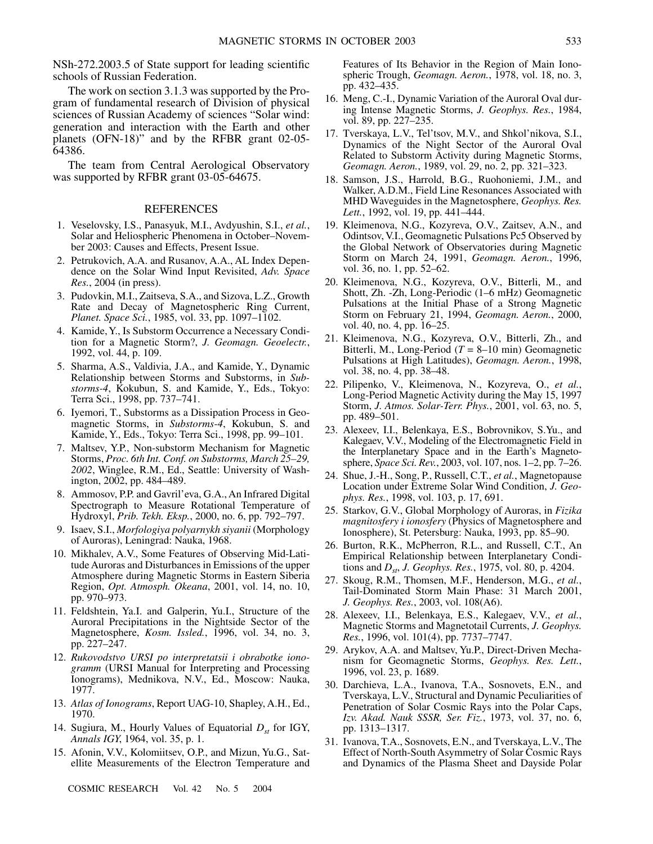NSh-272.2003.5 of State support for leading scientific schools of Russian Federation.

The work on section 3.1.3 was supported by the Program of fundamental research of Division of physical sciences of Russian Academy of sciences "Solar wind: generation and interaction with the Earth and other planets (OFN-18)" and by the RFBR grant 02-05- 64386.

The team from Central Aerological Observatory was supported by RFBR grant 03-05-64675.

#### REFERENCES

- 1. Veselovsky, I.S., Panasyuk, M.I., Avdyushin, S.I., *et al.*, Solar and Heliospheric Phenomena in October–November 2003: Causes and Effects, Present Issue.
- 2. Petrukovich, A.A. and Rusanov, A.A., AL Index Dependence on the Solar Wind Input Revisited, *Adv. Space Res.*, 2004 (in press).
- 3. Pudovkin, M.I., Zaitseva, S.A., and Sizova, L.Z., Growth Rate and Decay of Magnetospheric Ring Current, *Planet. Space Sci.*, 1985, vol. 33, pp. 1097–1102.
- 4. Kamide, Y., Is Substorm Occurrence a Necessary Condition for a Magnetic Storm?, *J. Geomagn. Geoelectr.*, 1992, vol. 44, p. 109.
- 5. Sharma, A.S., Valdivia, J.A., and Kamide, Y., Dynamic Relationship between Storms and Substorms, in *Substorms-4*, Kokubun, S. and Kamide, Y., Eds., Tokyo: Terra Sci., 1998, pp. 737–741.
- 6. Iyemori, T., Substorms as a Dissipation Process in Geomagnetic Storms, in *Substorms-4*, Kokubun, S. and Kamide, Y., Eds., Tokyo: Terra Sci., 1998, pp. 99–101.
- 7. Maltsev, Y.P., Non-substorm Mechanism for Magnetic Storms, *Proc. 6th Int. Conf. on Substorms, March 25–29, 2002*, Winglee, R.M., Ed., Seattle: University of Washington, 2002, pp. 484–489.
- 8. Ammosov, P.P. and Gavril'eva, G.A., An Infrared Digital Spectrograph to Measure Rotational Temperature of Hydroxyl, *Prib. Tekh. Eksp.*, 2000, no. 6, pp. 792–797.
- 9. Isaev, S.I., *Morfologiya polyarnykh siyanii* (Morphology of Auroras), Leningrad: Nauka, 1968.
- 10. Mikhalev, A.V., Some Features of Observing Mid-Latitude Auroras and Disturbances in Emissions of the upper Atmosphere during Magnetic Storms in Eastern Siberia Region, *Opt. Atmosph. Okeana*, 2001, vol. 14, no. 10, pp. 970–973.
- 11. Feldshtein, Ya.I. and Galperin, Yu.I., Structure of the Auroral Precipitations in the Nightside Sector of the Magnetosphere, *Kosm. Issled.*, 1996, vol. 34, no. 3, pp. 227–247.
- 12. *Rukovodstvo URSI po interpretatsii i obrabotke ionogramm* (URSI Manual for Interpreting and Processing Ionograms), Mednikova, N.V., Ed., Moscow: Nauka, 1977.
- 13. *Atlas of Ionograms*, Report UAG-10, Shapley, A.H., Ed., 1970.
- 14. Sugiura, M., Hourly Values of Equatorial  $D_{st}$  for IGY, *Annals IGY*, 1964, vol. 35, p. 1.
- 15. Afonin, V.V., Kolomiitsev, O.P., and Mizun, Yu.G., Satellite Measurements of the Electron Temperature and

COSMIC RESEARCH Vol. 42 No. 5 2004

Features of Its Behavior in the Region of Main Ionospheric Trough, *Geomagn. Aeron.*, 1978, vol. 18, no. 3, pp. 432–435.

- 16. Meng, C.-I., Dynamic Variation of the Auroral Oval during Intense Magnetic Storms, *J. Geophys. Res.*, 1984, vol. 89, pp. 227–235.
- 17. Tverskaya, L.V., Tel'tsov, M.V., and Shkol'nikova, S.I., Dynamics of the Night Sector of the Auroral Oval Related to Substorm Activity during Magnetic Storms, *Geomagn. Aeron.*, 1989, vol. 29, no. 2, pp. 321–323.
- 18. Samson, J.S., Harrold, B.G., Ruohoniemi, J.M., and Walker, A.D.M., Field Line Resonances Associated with MHD Waveguides in the Magnetosphere, *Geophys. Res. Lett.*, 1992, vol. 19, pp. 441–444.
- 19. Kleimenova, N.G., Kozyreva, O.V., Zaitsev, A.N., and Odintsov, V.I., Geomagnetic Pulsations Pc5 Observed by the Global Network of Observatories during Magnetic Storm on March 24, 1991, *Geomagn. Aeron.*, 1996, vol. 36, no. 1, pp. 52–62.
- 20. Kleimenova, N.G., Kozyreva, O.V., Bitterli, M., and Shott, Zh. -Zh, Long-Periodic (1–6 mHz) Geomagnetic Pulsations at the Initial Phase of a Strong Magnetic Storm on February 21, 1994, *Geomagn. Aeron.*, 2000, vol. 40, no. 4, pp. 16–25.
- 21. Kleimenova, N.G., Kozyreva, O.V., Bitterli, Zh., and Bitterli, M., Long-Period  $(T = 8-10 \text{ min})$  Geomagnetic Pulsations at High Latitudes), *Geomagn. Aeron.*, 1998, vol. 38, no. 4, pp. 38–48.
- 22. Pilipenko, V., Kleimenova, N., Kozyreva, O., *et al.*, Long-Period Magnetic Activity during the May 15, 1997 Storm, *J. Atmos. Solar-Terr. Phys.*, 2001, vol. 63, no. 5, pp. 489–501.
- 23. Alexeev, I.I., Belenkaya, E.S., Bobrovnikov, S.Yu., and Kalegaev, V.V., Modeling of the Electromagnetic Field in the Interplanetary Space and in the Earth's Magnetosphere, *Space Sci. Rev.*, 2003, vol. 107, nos. 1–2, pp. 7–26.
- 24. Shue, J.-H., Song, P., Russell, C.T., *et al.*, Magnetopause Location under Extreme Solar Wind Condition, *J. Geophys. Res.*, 1998, vol. 103, p. 17, 691.
- 25. Starkov, G.V., Global Morphology of Auroras, in *Fizika magnitosfery i ionosfery* (Physics of Magnetosphere and Ionosphere), St. Petersburg: Nauka, 1993, pp. 85–90.
- 26. Burton, R.K., McPherron, R.L., and Russell, C.T., An Empirical Relationship between Interplanetary Conditions and *D<sub>st</sub>*, *J. Geophys. Res.*, 1975, vol. 80, p. 4204.
- 27. Skoug, R.M., Thomsen, M.F., Henderson, M.G., *et al.*, Tail-Dominated Storm Main Phase: 31 March 2001, *J. Geophys. Res.*, 2003, vol. 108(A6).
- 28. Alexeev, I.I., Belenkaya, E.S., Kalegaev, V.V., *et al.*, Magnetic Storms and Magnetotail Currents, *J. Geophys. Res.*, 1996, vol. 101(4), pp. 7737–7747.
- 29. Arykov, A.A. and Maltsev, Yu.P., Direct-Driven Mechanism for Geomagnetic Storms, *Geophys. Res. Lett.*, 1996, vol. 23, p. 1689.
- 30. Darchieva, L.A., Ivanova, T.A., Sosnovets, E.N., and Tverskaya, L.V., Structural and Dynamic Peculiarities of Penetration of Solar Cosmic Rays into the Polar Caps, *Izv. Akad. Nauk SSSR, Ser. Fiz.*, 1973, vol. 37, no. 6, pp. 1313–1317.
- 31. Ivanova, T.A., Sosnovets, E.N., and Tverskaya, L.V., The Effect of North-South Asymmetry of Solar Cosmic Rays and Dynamics of the Plasma Sheet and Dayside Polar